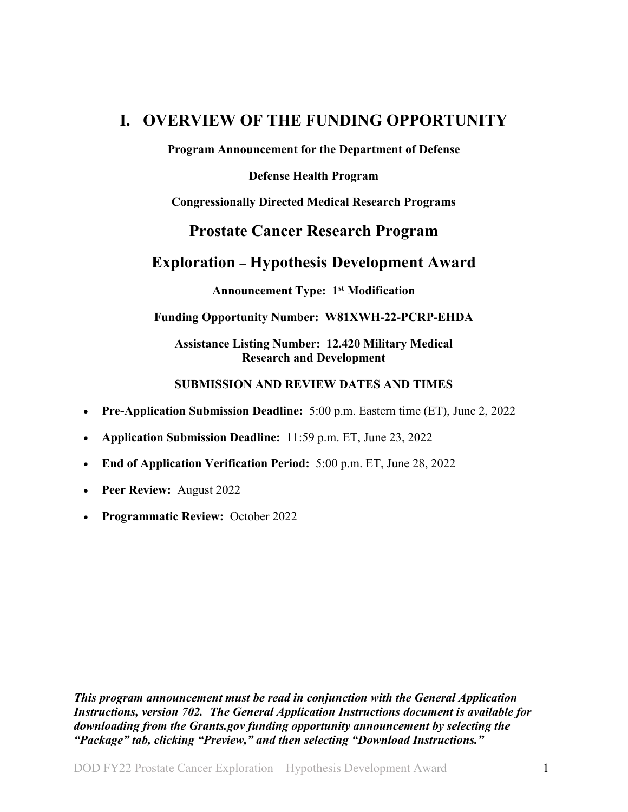# <span id="page-0-0"></span>**I. OVERVIEW OF THE FUNDING OPPORTUNITY**

**Program Announcement for the Department of Defense**

**Defense Health Program**

**Congressionally Directed Medical Research Programs**

# **Prostate Cancer Research Program**

# **Exploration – Hypothesis Development Award**

**Announcement Type: 1st Modification**

#### **Funding Opportunity Number: W81XWH-22-PCRP-EHDA**

#### **Assistance Listing Number: 12.420 Military Medical Research and Development**

#### **SUBMISSION AND REVIEW DATES AND TIMES**

- <span id="page-0-1"></span>• **Pre-Application Submission Deadline:** 5:00 p.m. Eastern time (ET), June 2, 2022
- **Application Submission Deadline:** 11:59 p.m. ET, June 23, 2022
- **End of Application Verification Period:** 5:00 p.m. ET, June 28, 2022
- **Peer Review:** August 2022
- **Programmatic Review:** October 2022

*This program announcement must be read in conjunction with the General Application Instructions, version 702.**The General Application Instructions document is available for downloading from the Grants.gov funding opportunity announcement by selecting the "Package" tab, clicking "Preview," and then selecting "Download Instructions."*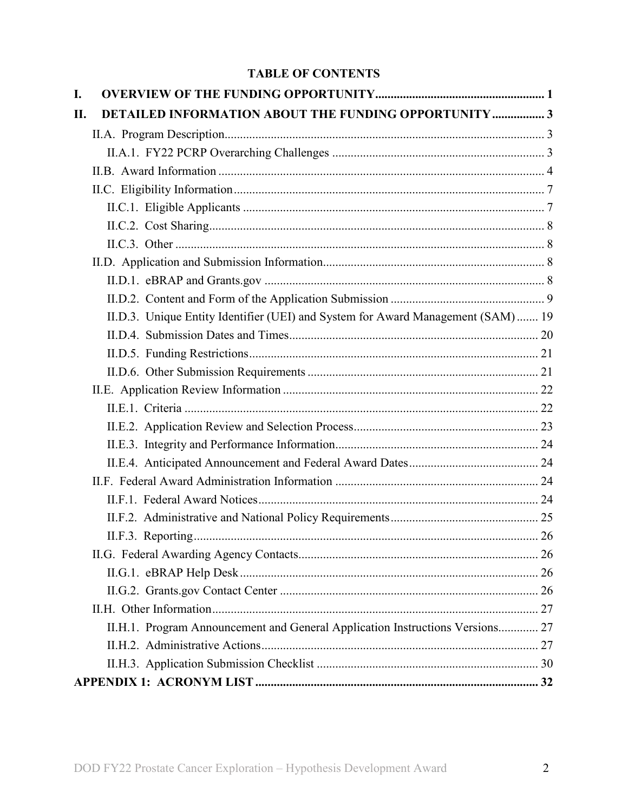# **TABLE OF CONTENTS**

| I.  |                                                                                  |  |
|-----|----------------------------------------------------------------------------------|--|
| II. | <b>DETAILED INFORMATION ABOUT THE FUNDING OPPORTUNITY  3</b>                     |  |
|     |                                                                                  |  |
|     |                                                                                  |  |
|     |                                                                                  |  |
|     |                                                                                  |  |
|     |                                                                                  |  |
|     |                                                                                  |  |
|     |                                                                                  |  |
|     |                                                                                  |  |
|     |                                                                                  |  |
|     |                                                                                  |  |
|     | II.D.3. Unique Entity Identifier (UEI) and System for Award Management (SAM)  19 |  |
|     |                                                                                  |  |
|     |                                                                                  |  |
|     |                                                                                  |  |
|     |                                                                                  |  |
|     |                                                                                  |  |
|     |                                                                                  |  |
|     |                                                                                  |  |
|     |                                                                                  |  |
|     |                                                                                  |  |
|     |                                                                                  |  |
|     |                                                                                  |  |
|     |                                                                                  |  |
|     |                                                                                  |  |
|     |                                                                                  |  |
|     |                                                                                  |  |
|     |                                                                                  |  |
|     | II.H.1. Program Announcement and General Application Instructions Versions 27    |  |
|     |                                                                                  |  |
|     |                                                                                  |  |
|     |                                                                                  |  |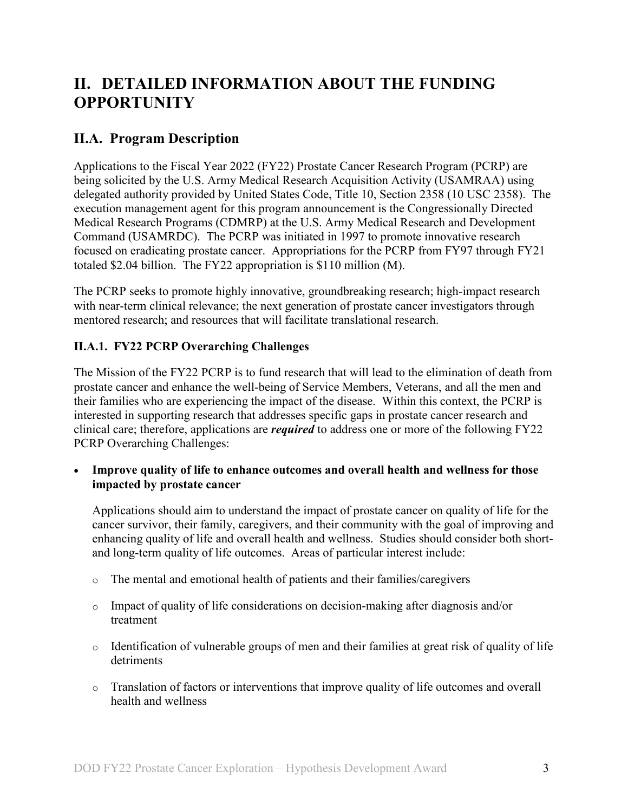# <span id="page-2-0"></span>**II. DETAILED INFORMATION ABOUT THE FUNDING OPPORTUNITY**

# <span id="page-2-1"></span>**II.A. Program Description**

Applications to the Fiscal Year 2022 (FY22) Prostate Cancer Research Program (PCRP) are being solicited by the U.S. Army Medical Research Acquisition Activity (USAMRAA) using delegated authority provided by United States Code, Title 10, Section 2358 (10 USC 2358). The execution management agent for this program announcement is the Congressionally Directed Medical Research Programs (CDMRP) at the U.S. Army Medical Research and Development Command (USAMRDC). The PCRP was initiated in 1997 to promote innovative research focused on eradicating prostate cancer. Appropriations for the PCRP from FY97 through FY21 totaled \$2.04 billion. The FY22 appropriation is \$110 million (M).

The PCRP seeks to promote highly innovative, groundbreaking research; high-impact research with near-term clinical relevance; the next generation of prostate cancer investigators through mentored research; and resources that will facilitate translational research.

# <span id="page-2-2"></span>**II.A.1. FY22 PCRP Overarching Challenges**

The Mission of the FY22 PCRP is to fund research that will lead to the elimination of death from prostate cancer and enhance the well-being of Service Members, Veterans, and all the men and their families who are experiencing the impact of the disease. Within this context, the PCRP is interested in supporting research that addresses specific gaps in prostate cancer research and clinical care; therefore, applications are *required* to address one or more of the following FY22 PCRP Overarching Challenges:

• **Improve quality of life to enhance outcomes and overall health and wellness for those impacted by prostate cancer**

Applications should aim to understand the impact of prostate cancer on quality of life for the cancer survivor, their family, caregivers, and their community with the goal of improving and enhancing quality of life and overall health and wellness. Studies should consider both shortand long-term quality of life outcomes. Areas of particular interest include:

- o The mental and emotional health of patients and their families/caregivers
- o Impact of quality of life considerations on decision-making after diagnosis and/or treatment
- o Identification of vulnerable groups of men and their families at great risk of quality of life detriments
- o Translation of factors or interventions that improve quality of life outcomes and overall health and wellness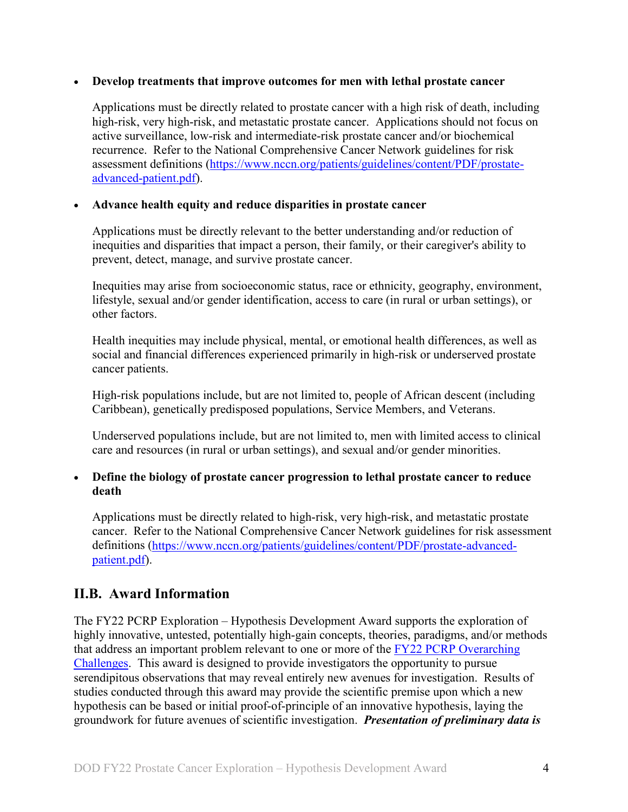#### • **Develop treatments that improve outcomes for men with lethal prostate cancer**

Applications must be directly related to prostate cancer with a high risk of death, including high-risk, very high-risk, and metastatic prostate cancer. Applications should not focus on active surveillance, low-risk and intermediate-risk prostate cancer and/or biochemical recurrence. Refer to the National Comprehensive Cancer Network guidelines for risk assessment definitions [\(https://www.nccn.org/patients/guidelines/content/PDF/prostate](https://www.nccn.org/patients/guidelines/content/PDF/prostate-advanced-patient.pdf)[advanced-patient.pdf\)](https://www.nccn.org/patients/guidelines/content/PDF/prostate-advanced-patient.pdf).

#### • **Advance health equity and reduce disparities in prostate cancer**

Applications must be directly relevant to the better understanding and/or reduction of inequities and disparities that impact a person, their family, or their caregiver's ability to prevent, detect, manage, and survive prostate cancer.

Inequities may arise from socioeconomic status, race or ethnicity, geography, environment, lifestyle, sexual and/or gender identification, access to care (in rural or urban settings), or other factors.

Health inequities may include physical, mental, or emotional health differences, as well as social and financial differences experienced primarily in high-risk or underserved prostate cancer patients.

High-risk populations include, but are not limited to, people of African descent (including Caribbean), genetically predisposed populations, Service Members, and Veterans.

Underserved populations include, but are not limited to, men with limited access to clinical care and resources (in rural or urban settings), and sexual and/or gender minorities.

#### • **Define the biology of prostate cancer progression to lethal prostate cancer to reduce death**

Applications must be directly related to high-risk, very high-risk, and metastatic prostate cancer. Refer to the National Comprehensive Cancer Network guidelines for risk assessment definitions [\(https://www.nccn.org/patients/guidelines/content/PDF/prostate-advanced](https://www.nccn.org/patients/guidelines/content/PDF/prostate-advanced-patient.pdf)[patient.pdf\)](https://www.nccn.org/patients/guidelines/content/PDF/prostate-advanced-patient.pdf).

# <span id="page-3-0"></span>**II.B. Award Information**

The FY22 PCRP Exploration – Hypothesis Development Award supports the exploration of highly innovative, untested, potentially high-gain concepts, theories, paradigms, and/or methods that address an important problem relevant to one or more of the [FY22 PCRP Overarching](#page-2-2)  [Challenges.](#page-2-2) This award is designed to provide investigators the opportunity to pursue serendipitous observations that may reveal entirely new avenues for investigation. Results of studies conducted through this award may provide the scientific premise upon which a new hypothesis can be based or initial proof-of-principle of an innovative hypothesis, laying the groundwork for future avenues of scientific investigation. *Presentation of preliminary data is*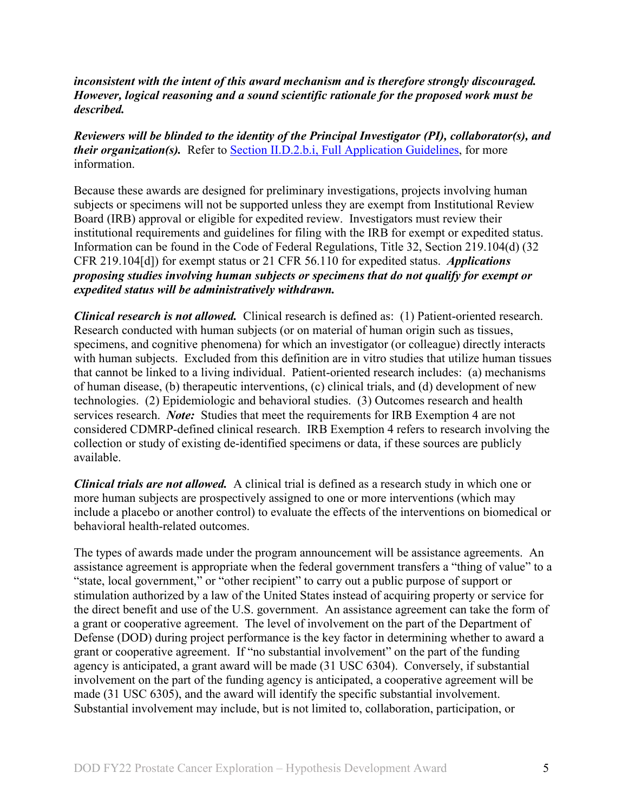*inconsistent with the intent of this award mechanism and is therefore strongly discouraged. However, logical reasoning and a sound scientific rationale for the proposed work must be described.*

*Reviewers will be blinded to the identity of the Principal Investigator (PI), collaborator(s), and their organization(s).* Refer to [Section II.D.2.b.i, Full Application Guidelines,](#page-10-0) for more information.

Because these awards are designed for preliminary investigations, projects involving human subjects or specimens will not be supported unless they are exempt from Institutional Review Board (IRB) approval or eligible for expedited review. Investigators must review their institutional requirements and guidelines for filing with the IRB for exempt or expedited status. Information can be found in the Code of Federal Regulations, Title 32, Section 219.104(d) (32 CFR 219.104[d]) for exempt status or 21 CFR 56.110 for expedited status. *Applications proposing studies involving human subjects or specimens that do not qualify for exempt or expedited status will be administratively withdrawn.*

*Clinical research is not allowed.* Clinical research is defined as: (1) Patient-oriented research. Research conducted with human subjects (or on material of human origin such as tissues, specimens, and cognitive phenomena) for which an investigator (or colleague) directly interacts with human subjects. Excluded from this definition are in vitro studies that utilize human tissues that cannot be linked to a living individual. Patient-oriented research includes: (a) mechanisms of human disease, (b) therapeutic interventions, (c) clinical trials, and (d) development of new technologies. (2) Epidemiologic and behavioral studies. (3) Outcomes research and health services research. *Note:* Studies that meet the requirements for IRB Exemption 4 are not considered CDMRP-defined clinical research. IRB Exemption 4 refers to research involving the collection or study of existing de-identified specimens or data, if these sources are publicly available.

*Clinical trials are not allowed.* A clinical trial is defined as a research study in which one or more human subjects are prospectively assigned to one or more interventions (which may include a placebo or another control) to evaluate the effects of the interventions on biomedical or behavioral health-related outcomes.

The types of awards made under the program announcement will be assistance agreements. An assistance agreement is appropriate when the federal government transfers a "thing of value" to a "state, local government," or "other recipient" to carry out a public purpose of support or stimulation authorized by a law of the United States instead of acquiring property or service for the direct benefit and use of the U.S. government. An assistance agreement can take the form of a grant or cooperative agreement. The level of involvement on the part of the Department of Defense (DOD) during project performance is the key factor in determining whether to award a grant or cooperative agreement. If "no substantial involvement" on the part of the funding agency is anticipated, a grant award will be made (31 USC 6304). Conversely, if substantial involvement on the part of the funding agency is anticipated, a cooperative agreement will be made (31 USC 6305), and the award will identify the specific substantial involvement. Substantial involvement may include, but is not limited to, collaboration, participation, or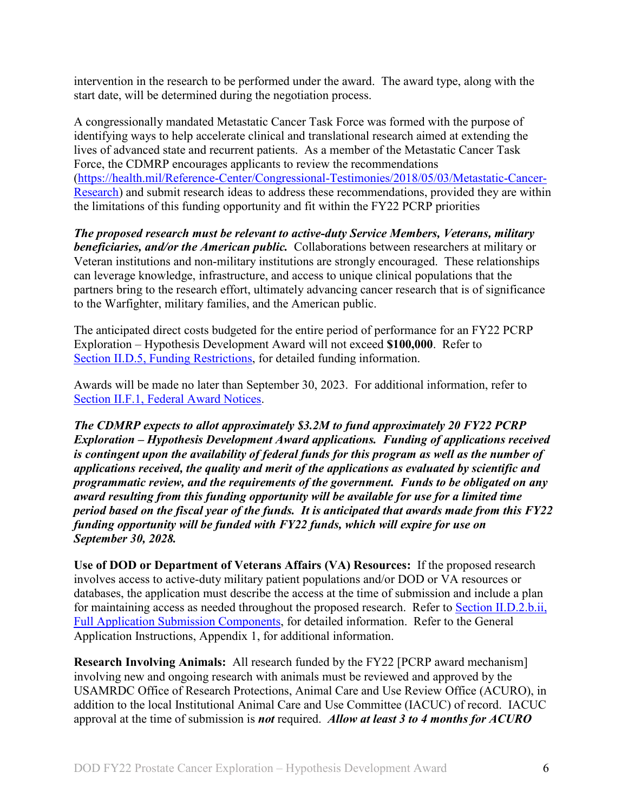intervention in the research to be performed under the award. The award type, along with the start date, will be determined during the negotiation process.

A congressionally mandated Metastatic Cancer Task Force was formed with the purpose of identifying ways to help accelerate clinical and translational research aimed at extending the lives of advanced state and recurrent patients. As a member of the Metastatic Cancer Task Force, the CDMRP encourages applicants to review the recommendations [\(https://health.mil/Reference-Center/Congressional-Testimonies/2018/05/03/Metastatic-Cancer-](https://health.mil/Reference-Center/Congressional-Testimonies/2018/05/03/Metastatic-Cancer-Research)[Research\)](https://health.mil/Reference-Center/Congressional-Testimonies/2018/05/03/Metastatic-Cancer-Research) and submit research ideas to address these recommendations, provided they are within the limitations of this funding opportunity and fit within the FY22 PCRP priorities

*The proposed research must be relevant to active-duty Service Members, Veterans, military beneficiaries, and/or the American public.* Collaborations between researchers at military or Veteran institutions and non-military institutions are strongly encouraged. These relationships can leverage knowledge, infrastructure, and access to unique clinical populations that the partners bring to the research effort, ultimately advancing cancer research that is of significance to the Warfighter, military families, and the American public.

The anticipated direct costs budgeted for the entire period of performance for an FY22 PCRP Exploration – Hypothesis Development Award will not exceed **\$100,000**. Refer to Section [II.D.5, Funding Restrictions,](#page-20-0) for detailed funding information.

Awards will be made no later than September 30, 2023. For additional information, refer to [Section II.F.1, Federal Award Notices.](#page-23-3)

*The CDMRP expects to allot approximately \$3.2M to fund approximately 20 FY22 PCRP Exploration – Hypothesis Development Award applications. Funding of applications received is contingent upon the availability of federal funds for this program as well as the number of applications received, the quality and merit of the applications as evaluated by scientific and programmatic review, and the requirements of the government. Funds to be obligated on any award resulting from this funding opportunity will be available for use for a limited time period based on the fiscal year of the funds. It is anticipated that awards made from this FY22 funding opportunity will be funded with FY22 funds, which will expire for use on September 30, 2028.*

**Use of DOD or Department of Veterans Affairs (VA) Resources:** If the proposed research involves access to active-duty military patient populations and/or DOD or VA resources or databases, the application must describe the access at the time of submission and include a plan for maintaining access as needed throughout the proposed research. Refer to Section [II.D.2.b.ii,](#page-13-0)  [Full Application Submission Components,](#page-13-0) for detailed information. Refer to the General Application Instructions, Appendix 1, for additional information.

**Research Involving Animals:** All research funded by the FY22 [PCRP award mechanism] involving new and ongoing research with animals must be reviewed and approved by the USAMRDC Office of Research Protections, Animal Care and Use Review Office (ACURO), in addition to the local Institutional Animal Care and Use Committee (IACUC) of record. IACUC approval at the time of submission is *not* required. *Allow at least 3 to 4 months for ACURO*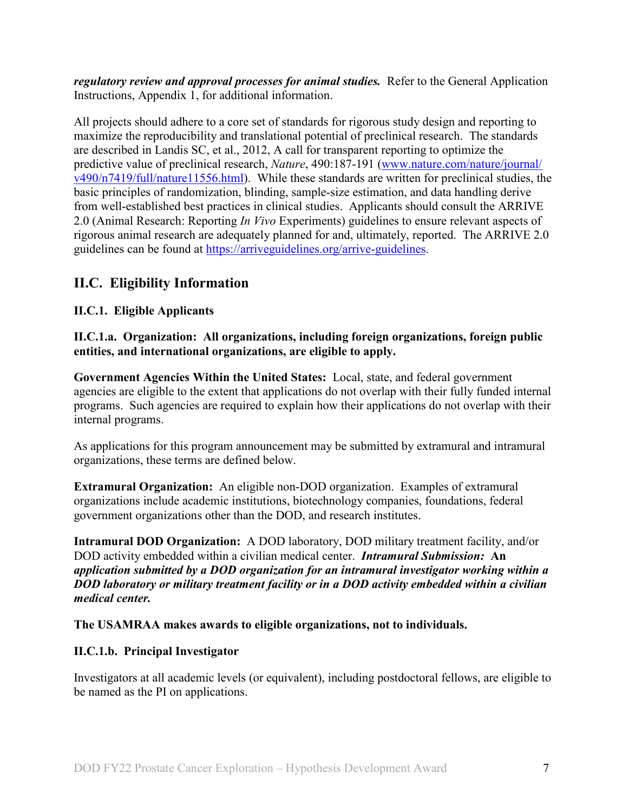*regulatory review and approval processes for animal studies.* Refer to the General Application Instructions, Appendix 1, for additional information.

All projects should adhere to a core set of standards for rigorous study design and reporting to maximize the reproducibility and translational potential of preclinical research. The standards are described in Landis SC, et al., 2012, A call for transparent reporting to optimize the predictive value of preclinical research, *Nature*, 490:187-191 [\(www.nature.com/nature/journal/](http://www.nature.com/nature/journal/v490/n7419/full/nature11556.html) [v490/n7419/full/nature11556.html\)](http://www.nature.com/nature/journal/v490/n7419/full/nature11556.html). While these standards are written for preclinical studies, the basic principles of randomization, blinding, sample-size estimation, and data handling derive from well-established best practices in clinical studies. Applicants should consult the ARRIVE 2.0 (Animal Research: Reporting *In Vivo* Experiments) guidelines to ensure relevant aspects of rigorous animal research are adequately planned for and, ultimately, reported. The ARRIVE 2.0 guidelines can be found at [https://arriveguidelines.org/arrive-guidelines.](https://arriveguidelines.org/arrive-guidelines)

# <span id="page-6-0"></span>**II.C. Eligibility Information**

### <span id="page-6-1"></span>**II.C.1. Eligible Applicants**

#### **II.C.1.a. Organization: All organizations, including foreign organizations, foreign public entities, and international organizations, are eligible to apply.**

**Government Agencies Within the United States:** Local, state, and federal government agencies are eligible to the extent that applications do not overlap with their fully funded internal programs. Such agencies are required to explain how their applications do not overlap with their internal programs.

As applications for this program announcement may be submitted by extramural and intramural organizations, these terms are defined below.

**Extramural Organization:** An eligible non-DOD organization. Examples of extramural organizations include academic institutions, biotechnology companies, foundations, federal government organizations other than the DOD, and research institutes.

**Intramural DOD Organization:** A DOD laboratory, DOD military treatment facility, and/or DOD activity embedded within a civilian medical center. *Intramural Submission:* **An**  *application submitted by a DOD organization for an intramural investigator working within a DOD laboratory or military treatment facility or in a DOD activity embedded within a civilian medical center.*

#### **The USAMRAA makes awards to eligible organizations, not to individuals.**

#### **II.C.1.b. Principal Investigator**

Investigators at all academic levels (or equivalent), including postdoctoral fellows, are eligible to be named as the PI on applications.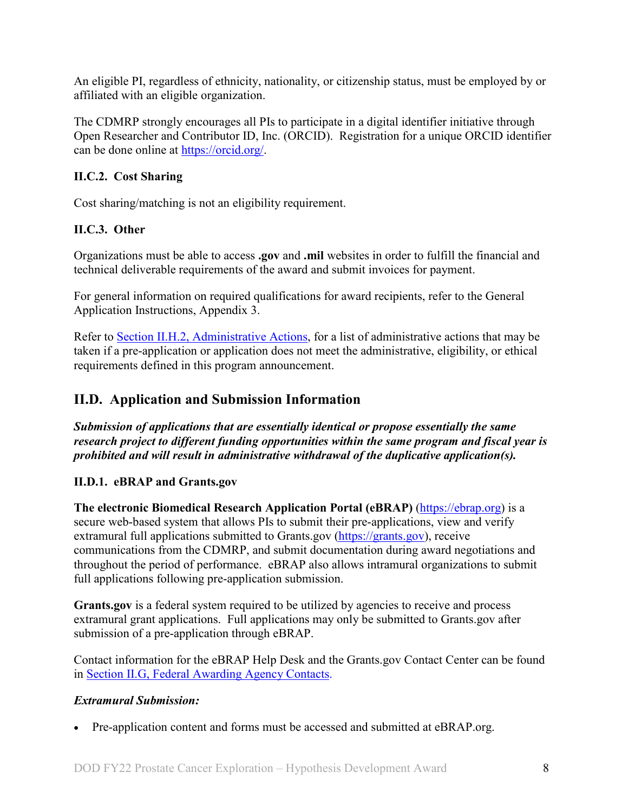An eligible PI, regardless of ethnicity, nationality, or citizenship status, must be employed by or affiliated with an eligible organization.

The CDMRP strongly encourages all PIs to participate in a digital identifier initiative through Open Researcher and Contributor ID, Inc. (ORCID). Registration for a unique ORCID identifier can be done online at [https://orcid.org/.](https://orcid.org/)

### <span id="page-7-0"></span>**II.C.2. Cost Sharing**

Cost sharing/matching is not an eligibility requirement.

# <span id="page-7-1"></span>**II.C.3. Other**

Organizations must be able to access **.gov** and **.mil** websites in order to fulfill the financial and technical deliverable requirements of the award and submit invoices for payment.

For general information on required qualifications for award recipients, refer to the General Application Instructions, Appendix 3.

Refer to [Section II.H.2, Administrative Actions,](#page-26-2) for a list of administrative actions that may be taken if a pre-application or application does not meet the administrative, eligibility, or ethical requirements defined in this program announcement.

# <span id="page-7-2"></span>**II.D. Application and Submission Information**

*Submission of applications that are essentially identical or propose essentially the same research project to different funding opportunities within the same program and fiscal year is prohibited and will result in administrative withdrawal of the duplicative application(s).*

# <span id="page-7-3"></span>**II.D.1. eBRAP and Grants.gov**

**The electronic Biomedical Research Application Portal (eBRAP)** [\(https://ebrap.org\)](https://ebrap.org/) is a secure web-based system that allows PIs to submit their pre-applications, view and verify extramural full applications submitted to Grants.gov [\(https://grants.gov\)](https://grants.gov/), receive communications from the CDMRP, and submit documentation during award negotiations and throughout the period of performance. eBRAP also allows intramural organizations to submit full applications following pre-application submission.

**Grants.gov** is a federal system required to be utilized by agencies to receive and process extramural grant applications. Full applications may only be submitted to Grants.gov after submission of a pre-application through eBRAP.

Contact information for the eBRAP Help Desk and the Grants.gov Contact Center can be found in [Section II.G, Federal Awarding Agency Contacts.](#page-25-1)

#### *Extramural Submission:*

• Pre-application content and forms must be accessed and submitted at eBRAP.org.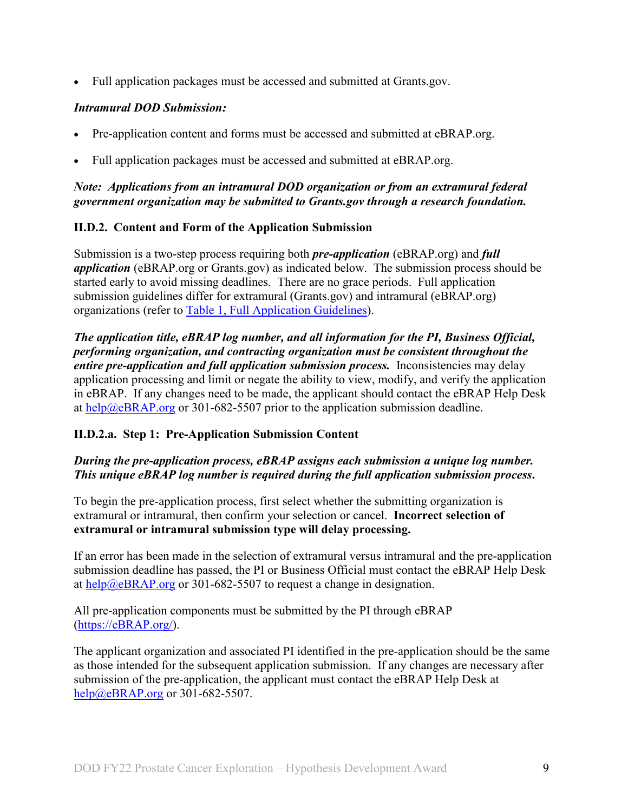• Full application packages must be accessed and submitted at Grants.gov.

### *Intramural DOD Submission:*

- Pre-application content and forms must be accessed and submitted at eBRAP.org.
- Full application packages must be accessed and submitted at eBRAP.org.

#### *Note: Applications from an intramural DOD organization or from an extramural federal government organization may be submitted to Grants.gov through a research foundation.*

### <span id="page-8-0"></span>**II.D.2. Content and Form of the Application Submission**

Submission is a two-step process requiring both *pre-application* (eBRAP.org) and *full application* (eBRAP.org or Grants.gov) as indicated below. The submission process should be started early to avoid missing deadlines. There are no grace periods. Full application submission guidelines differ for extramural (Grants.gov) and intramural (eBRAP.org) organizations (refer to [Table 1, Full Application Guidelines\)](#page-11-0).

*The application title, eBRAP log number, and all information for the PI, Business Official, performing organization, and contracting organization must be consistent throughout the entire pre-application and full application submission process.* Inconsistencies may delay application processing and limit or negate the ability to view, modify, and verify the application in eBRAP. If any changes need to be made, the applicant should contact the eBRAP Help Desk at [help@eBRAP.org](mailto:help@eBRAP.org) or 301-682-5507 prior to the application submission deadline.

# **II.D.2.a. Step 1: Pre-Application Submission Content**

### *During the pre-application process, eBRAP assigns each submission a unique log number. This unique eBRAP log number is required during the full application submission process***.**

To begin the pre-application process, first select whether the submitting organization is extramural or intramural, then confirm your selection or cancel. **Incorrect selection of extramural or intramural submission type will delay processing.**

If an error has been made in the selection of extramural versus intramural and the pre-application submission deadline has passed, the PI or Business Official must contact the eBRAP Help Desk at [help@eBRAP.org](mailto:help@eBRAP.org) or 301-682-5507 to request a change in designation.

All pre-application components must be submitted by the PI through eBRAP [\(https://eBRAP.org/\)](https://ebrap.org/).

The applicant organization and associated PI identified in the pre-application should be the same as those intended for the subsequent application submission. If any changes are necessary after submission of the pre-application, the applicant must contact the eBRAP Help Desk at [help@eBRAP.org](mailto:help@eBRAP.org) or 301-682-5507.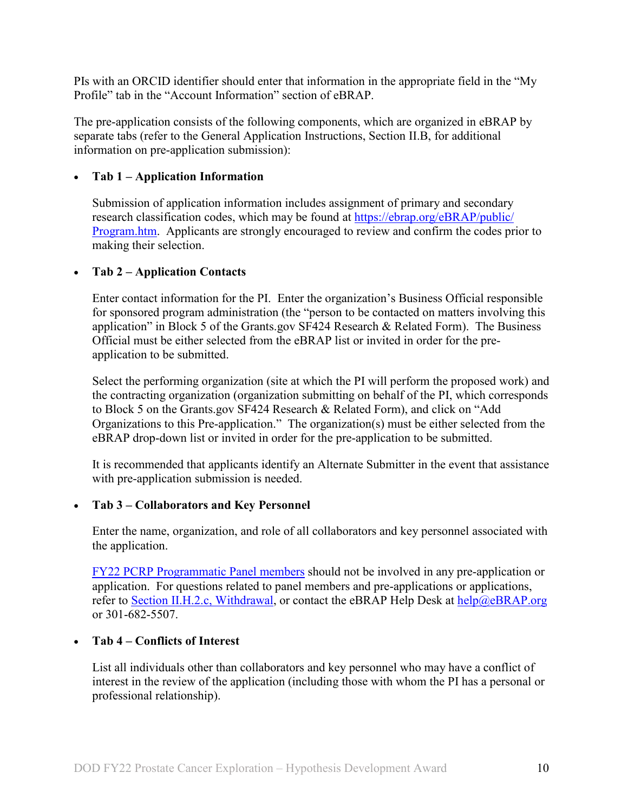PIs with an ORCID identifier should enter that information in the appropriate field in the "My Profile" tab in the "Account Information" section of eBRAP.

The pre-application consists of the following components, which are organized in eBRAP by separate tabs (refer to the General Application Instructions, Section II.B, for additional information on pre-application submission):

#### • **Tab 1 – Application Information**

Submission of application information includes assignment of primary and secondary research classification codes, which may be found at [https://ebrap.org/eBRAP/public/](https://ebrap.org/eBRAP/public/Program.htm) [Program.htm.](https://ebrap.org/eBRAP/public/Program.htm) Applicants are strongly encouraged to review and confirm the codes prior to making their selection.

#### • **Tab 2 – Application Contacts**

Enter contact information for the PI. Enter the organization's Business Official responsible for sponsored program administration (the "person to be contacted on matters involving this application" in Block 5 of the Grants.gov SF424 Research & Related Form). The Business Official must be either selected from the eBRAP list or invited in order for the preapplication to be submitted.

Select the performing organization (site at which the PI will perform the proposed work) and the contracting organization (organization submitting on behalf of the PI, which corresponds to Block 5 on the Grants.gov SF424 Research & Related Form), and click on "Add Organizations to this Pre-application." The organization(s) must be either selected from the eBRAP drop-down list or invited in order for the pre-application to be submitted.

It is recommended that applicants identify an Alternate Submitter in the event that assistance with pre-application submission is needed.

#### • **Tab 3 – Collaborators and Key Personnel**

Enter the name, organization, and role of all collaborators and key personnel associated with the application.

[FY22 PCRP Programmatic Panel members](https://cdmrp.army.mil/pcrp/panels/panel22) should not be involved in any pre-application or application. For questions related to panel members and pre-applications or applications, refer to [Section II.H.2.c, Withdrawal,](#page-27-0) or contact the eBRAP Help Desk at [help@eBRAP.org](mailto:help@eBRAP.org) or 301-682-5507.

#### • **Tab 4 – Conflicts of Interest**

List all individuals other than collaborators and key personnel who may have a conflict of interest in the review of the application (including those with whom the PI has a personal or professional relationship).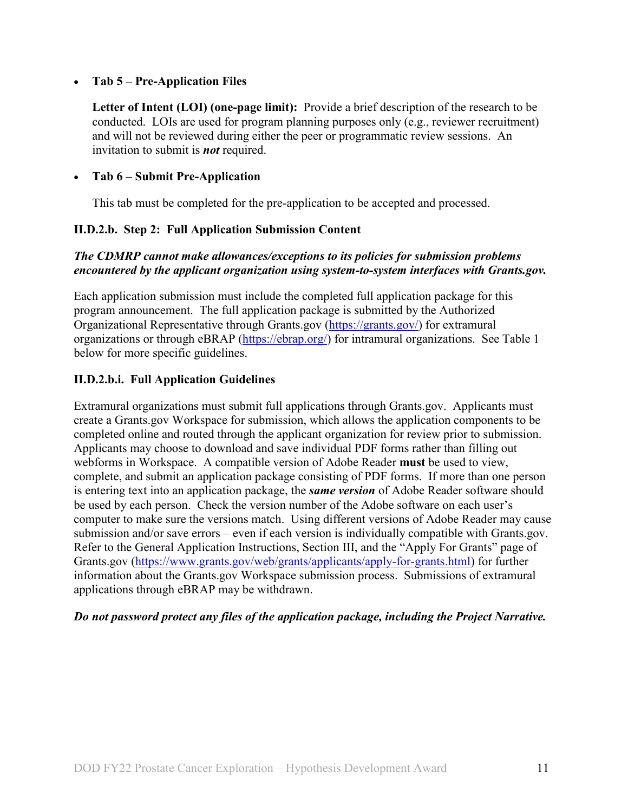#### • **Tab 5 – Pre-Application Files**

**Letter of Intent (LOI) (one-page limit):** Provide a brief description of the research to be conducted. LOIs are used for program planning purposes only (e.g., reviewer recruitment) and will not be reviewed during either the peer or programmatic review sessions. An invitation to submit is *not* required.

#### • **Tab 6 – Submit Pre-Application**

This tab must be completed for the pre-application to be accepted and processed.

#### **II.D.2.b. Step 2: Full Application Submission Content**

#### *The CDMRP cannot make allowances/exceptions to its policies for submission problems encountered by the applicant organization using system-to-system interfaces with Grants.gov.*

Each application submission must include the completed full application package for this program announcement. The full application package is submitted by the Authorized Organizational Representative through Grants.gov [\(https://grants.gov/\)](https://www.grants.gov/) for extramural organizations or through eBRAP [\(https://ebrap.org/\)](https://ebrap.org/) for intramural organizations. See Table 1 below for more specific guidelines.

#### <span id="page-10-0"></span>**II.D.2.b.i. Full Application Guidelines**

Extramural organizations must submit full applications through Grants.gov. Applicants must create a Grants.gov Workspace for submission, which allows the application components to be completed online and routed through the applicant organization for review prior to submission. Applicants may choose to download and save individual PDF forms rather than filling out webforms in Workspace. A compatible version of Adobe Reader **must** be used to view, complete, and submit an application package consisting of PDF forms. If more than one person is entering text into an application package, the *same version* of Adobe Reader software should be used by each person. Check the version number of the Adobe software on each user's computer to make sure the versions match. Using different versions of Adobe Reader may cause submission and/or save errors – even if each version is individually compatible with Grants.gov. Refer to the General Application Instructions, Section III, and the "Apply For Grants" page of Grants.gov [\(https://www.grants.gov/web/grants/applicants/apply-for-grants.html\)](https://www.grants.gov/web/grants/applicants/apply-for-grants.html) for further information about the Grants.gov Workspace submission process. Submissions of extramural applications through eBRAP may be withdrawn.

#### *Do not password protect any files of the application package, including the Project Narrative.*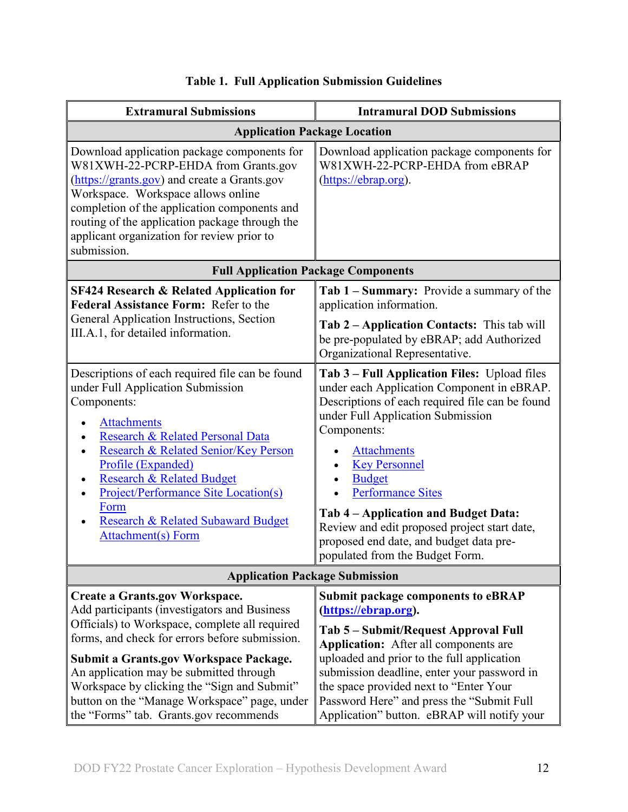<span id="page-11-0"></span>

| <b>Extramural Submissions</b>                                                                                                                                                                                                                                                                                                                                                                                                                                                                                                                                                           | <b>Intramural DOD Submissions</b>                                                                                                                                                                                                                                                                                                                                                                                                                                                                                                                                                                                                                                         |  |  |  |
|-----------------------------------------------------------------------------------------------------------------------------------------------------------------------------------------------------------------------------------------------------------------------------------------------------------------------------------------------------------------------------------------------------------------------------------------------------------------------------------------------------------------------------------------------------------------------------------------|---------------------------------------------------------------------------------------------------------------------------------------------------------------------------------------------------------------------------------------------------------------------------------------------------------------------------------------------------------------------------------------------------------------------------------------------------------------------------------------------------------------------------------------------------------------------------------------------------------------------------------------------------------------------------|--|--|--|
| <b>Application Package Location</b>                                                                                                                                                                                                                                                                                                                                                                                                                                                                                                                                                     |                                                                                                                                                                                                                                                                                                                                                                                                                                                                                                                                                                                                                                                                           |  |  |  |
| Download application package components for<br>W81XWH-22-PCRP-EHDA from Grants.gov<br>(https://grants.gov) and create a Grants.gov<br>Workspace. Workspace allows online<br>completion of the application components and<br>routing of the application package through the<br>applicant organization for review prior to<br>submission.                                                                                                                                                                                                                                                 | Download application package components for<br>W81XWH-22-PCRP-EHDA from eBRAP<br>(https://ebrap.org).                                                                                                                                                                                                                                                                                                                                                                                                                                                                                                                                                                     |  |  |  |
| <b>Full Application Package Components</b>                                                                                                                                                                                                                                                                                                                                                                                                                                                                                                                                              |                                                                                                                                                                                                                                                                                                                                                                                                                                                                                                                                                                                                                                                                           |  |  |  |
| <b>SF424 Research &amp; Related Application for</b><br><b>Federal Assistance Form: Refer to the</b><br>General Application Instructions, Section<br>III.A.1, for detailed information.<br>Descriptions of each required file can be found<br>under Full Application Submission<br>Components:<br><b>Attachments</b><br>Research & Related Personal Data<br>Research & Related Senior/Key Person<br>Profile (Expanded)<br>Research & Related Budget<br><b>Project/Performance Site Location(s)</b><br>Form<br><b>Research &amp; Related Subaward Budget</b><br><b>Attachment(s)</b> Form | Tab 1 - Summary: Provide a summary of the<br>application information.<br>Tab 2 – Application Contacts: This tab will<br>be pre-populated by eBRAP; add Authorized<br>Organizational Representative.<br>Tab 3 – Full Application Files: Upload files<br>under each Application Component in eBRAP.<br>Descriptions of each required file can be found<br>under Full Application Submission<br>Components:<br><b>Attachments</b><br><b>Key Personnel</b><br><b>Budget</b><br><b>Performance Sites</b><br>Tab 4 – Application and Budget Data:<br>Review and edit proposed project start date,<br>proposed end date, and budget data pre-<br>populated from the Budget Form. |  |  |  |
| <b>Application Package Submission</b>                                                                                                                                                                                                                                                                                                                                                                                                                                                                                                                                                   |                                                                                                                                                                                                                                                                                                                                                                                                                                                                                                                                                                                                                                                                           |  |  |  |
| <b>Create a Grants.gov Workspace.</b><br>Add participants (investigators and Business<br>Officials) to Workspace, complete all required<br>forms, and check for errors before submission.<br>Submit a Grants.gov Workspace Package.<br>An application may be submitted through<br>Workspace by clicking the "Sign and Submit"<br>button on the "Manage Workspace" page, under<br>the "Forms" tab. Grants.gov recommends                                                                                                                                                                 | <b>Submit package components to eBRAP</b><br>(https://ebrap.org).<br>Tab 5 – Submit/Request Approval Full<br><b>Application:</b> After all components are<br>uploaded and prior to the full application<br>submission deadline, enter your password in<br>the space provided next to "Enter Your<br>Password Here" and press the "Submit Full<br>Application" button. eBRAP will notify your                                                                                                                                                                                                                                                                              |  |  |  |

# **Table 1. Full Application Submission Guidelines**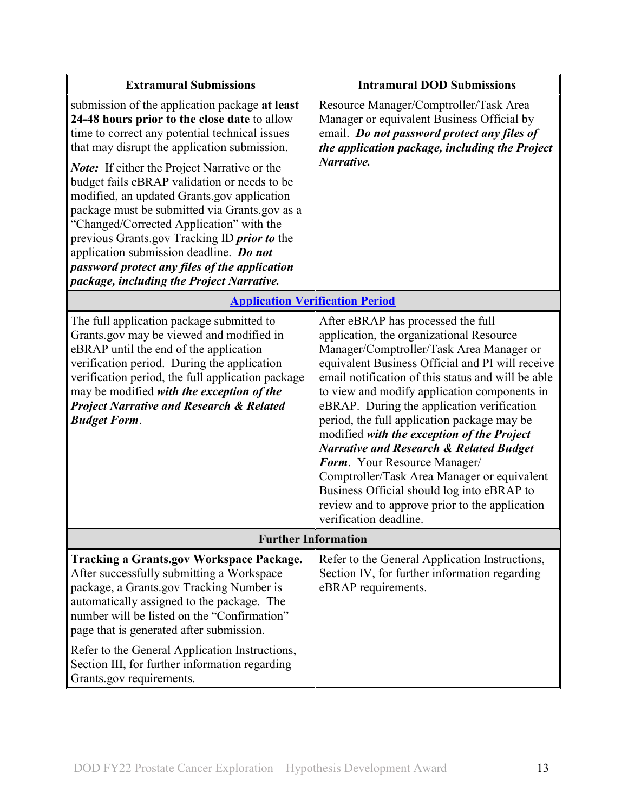| <b>Extramural Submissions</b>                                                                                                                                                                                                                                                                                                                                                                                                                                                                                                                                                                                                                | <b>Intramural DOD Submissions</b>                                                                                                                                                                                                                                                                                                                                                                                                                                                                                                                                                                                                                                                              |  |
|----------------------------------------------------------------------------------------------------------------------------------------------------------------------------------------------------------------------------------------------------------------------------------------------------------------------------------------------------------------------------------------------------------------------------------------------------------------------------------------------------------------------------------------------------------------------------------------------------------------------------------------------|------------------------------------------------------------------------------------------------------------------------------------------------------------------------------------------------------------------------------------------------------------------------------------------------------------------------------------------------------------------------------------------------------------------------------------------------------------------------------------------------------------------------------------------------------------------------------------------------------------------------------------------------------------------------------------------------|--|
| submission of the application package at least<br>24-48 hours prior to the close date to allow<br>time to correct any potential technical issues<br>that may disrupt the application submission.<br><b>Note:</b> If either the Project Narrative or the<br>budget fails eBRAP validation or needs to be<br>modified, an updated Grants.gov application<br>package must be submitted via Grants.gov as a<br>"Changed/Corrected Application" with the<br>previous Grants.gov Tracking ID prior to the<br>application submission deadline. Do not<br>password protect any files of the application<br>package, including the Project Narrative. | Resource Manager/Comptroller/Task Area<br>Manager or equivalent Business Official by<br>email. Do not password protect any files of<br>the application package, including the Project<br>Narrative.                                                                                                                                                                                                                                                                                                                                                                                                                                                                                            |  |
| <b>Application Verification Period</b>                                                                                                                                                                                                                                                                                                                                                                                                                                                                                                                                                                                                       |                                                                                                                                                                                                                                                                                                                                                                                                                                                                                                                                                                                                                                                                                                |  |
| The full application package submitted to<br>Grants.gov may be viewed and modified in<br>eBRAP until the end of the application<br>verification period. During the application<br>verification period, the full application package<br>may be modified with the exception of the<br><b>Project Narrative and Research &amp; Related</b><br><b>Budget Form.</b>                                                                                                                                                                                                                                                                               | After eBRAP has processed the full<br>application, the organizational Resource<br>Manager/Comptroller/Task Area Manager or<br>equivalent Business Official and PI will receive<br>email notification of this status and will be able<br>to view and modify application components in<br>eBRAP. During the application verification<br>period, the full application package may be<br>modified with the exception of the Project<br><b>Narrative and Research &amp; Related Budget</b><br>Form. Your Resource Manager/<br>Comptroller/Task Area Manager or equivalent<br>Business Official should log into eBRAP to<br>review and to approve prior to the application<br>verification deadline. |  |
| <b>Further Information</b>                                                                                                                                                                                                                                                                                                                                                                                                                                                                                                                                                                                                                   |                                                                                                                                                                                                                                                                                                                                                                                                                                                                                                                                                                                                                                                                                                |  |
| <b>Tracking a Grants.gov Workspace Package.</b><br>After successfully submitting a Workspace<br>package, a Grants.gov Tracking Number is<br>automatically assigned to the package. The<br>number will be listed on the "Confirmation"<br>page that is generated after submission.<br>Refer to the General Application Instructions,<br>Section III, for further information regarding<br>Grants.gov requirements.                                                                                                                                                                                                                            | Refer to the General Application Instructions,<br>Section IV, for further information regarding<br>eBRAP requirements.                                                                                                                                                                                                                                                                                                                                                                                                                                                                                                                                                                         |  |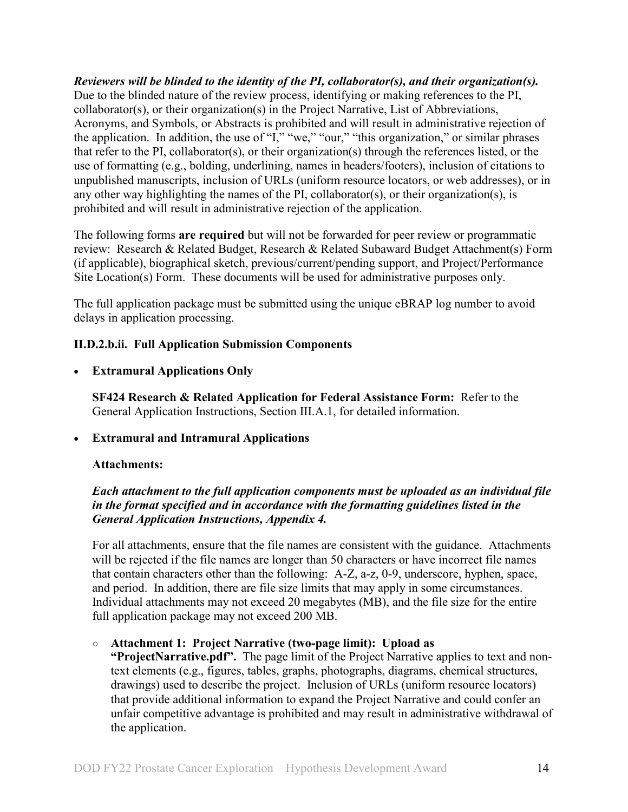*Reviewers will be blinded to the identity of the PI, collaborator(s), and their organization(s).* Due to the blinded nature of the review process, identifying or making references to the PI, collaborator(s), or their organization(s) in the Project Narrative, List of Abbreviations, Acronyms, and Symbols, or Abstracts is prohibited and will result in administrative rejection of the application. In addition, the use of "I," "we," "our," "this organization," or similar phrases that refer to the PI, collaborator(s), or their organization(s) through the references listed, or the use of formatting (e.g., bolding, underlining, names in headers/footers), inclusion of citations to unpublished manuscripts, inclusion of URLs (uniform resource locators, or web addresses), or in any other way highlighting the names of the PI, collaborator(s), or their organization(s), is prohibited and will result in administrative rejection of the application.

The following forms **are required** but will not be forwarded for peer review or programmatic review: Research & Related Budget, Research & Related Subaward Budget Attachment(s) Form (if applicable), biographical sketch, previous/current/pending support, and Project/Performance Site Location(s) Form. These documents will be used for administrative purposes only.

The full application package must be submitted using the unique eBRAP log number to avoid delays in application processing.

### <span id="page-13-0"></span>**II.D.2.b.ii. Full Application Submission Components**

• **Extramural Applications Only**

**SF424 Research & Related Application for Federal Assistance Form:** Refer to the General Application Instructions, Section III.A.1, for detailed information.

#### • **Extramural and Intramural Applications**

#### <span id="page-13-1"></span>**Attachments:**

#### *Each attachment to the full application components must be uploaded as an individual file in the format specified and in accordance with the formatting guidelines listed in the General Application Instructions, Appendix 4.*

For all attachments, ensure that the file names are consistent with the guidance. Attachments will be rejected if the file names are longer than 50 characters or have incorrect file names that contain characters other than the following: A-Z, a-z, 0-9, underscore, hyphen, space, and period. In addition, there are file size limits that may apply in some circumstances. Individual attachments may not exceed 20 megabytes (MB), and the file size for the entire full application package may not exceed 200 MB.

#### ○ **Attachment 1: Project Narrative (two-page limit): Upload as**

**"ProjectNarrative.pdf".** The page limit of the Project Narrative applies to text and nontext elements (e.g., figures, tables, graphs, photographs, diagrams, chemical structures, drawings) used to describe the project. Inclusion of URLs (uniform resource locators) that provide additional information to expand the Project Narrative and could confer an unfair competitive advantage is prohibited and may result in administrative withdrawal of the application.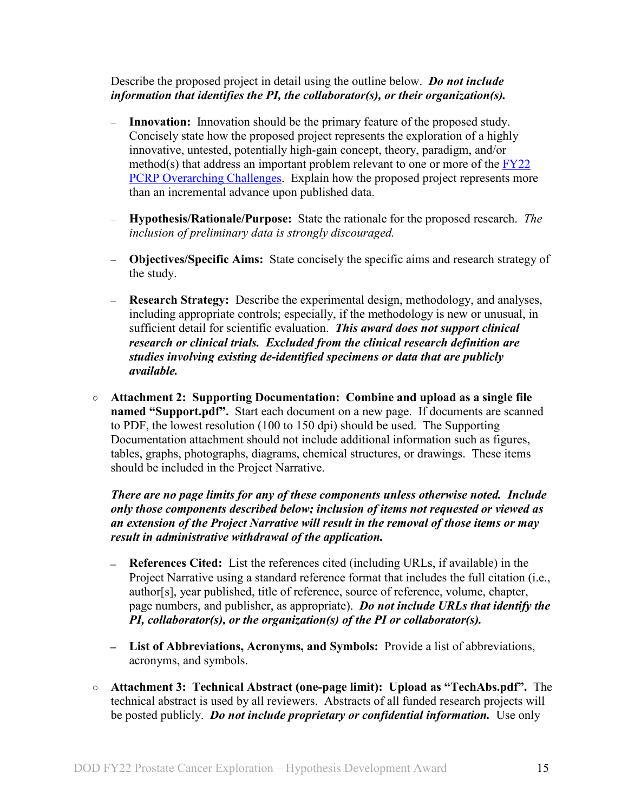Describe the proposed project in detail using the outline below. *Do not include information that identifies the PI, the collaborator(s), or their organization(s).*

- **Innovation:** Innovation should be the primary feature of the proposed study. Concisely state how the proposed project represents the exploration of a highly innovative, untested, potentially high-gain concept, theory, paradigm, and/or method(s) that address an important problem relevant to one or more of the FY22 [PCRP Overarching Challenges.](#page-2-2) Explain how the proposed project represents more than an incremental advance upon published data.
- **Hypothesis/Rationale/Purpose:** State the rationale for the proposed research. *The inclusion of preliminary data is strongly discouraged.*
- **Objectives/Specific Aims:** State concisely the specific aims and research strategy of the study.
- **Research Strategy:** Describe the experimental design, methodology, and analyses, including appropriate controls; especially, if the methodology is new or unusual, in sufficient detail for scientific evaluation. *This award does not support clinical research or clinical trials. Excluded from the clinical research definition are studies involving existing de-identified specimens or data that are publicly available.*
- **Attachment 2: Supporting Documentation: Combine and upload as a single file named "Support.pdf".** Start each document on a new page. If documents are scanned to PDF, the lowest resolution (100 to 150 dpi) should be used. The Supporting Documentation attachment should not include additional information such as figures, tables, graphs, photographs, diagrams, chemical structures, or drawings. These items should be included in the Project Narrative.

*There are no page limits for any of these components unless otherwise noted. Include only those components described below; inclusion of items not requested or viewed as an extension of the Project Narrative will result in the removal of those items or may result in administrative withdrawal of the application.*

- **References Cited:** List the references cited (including URLs, if available) in the Project Narrative using a standard reference format that includes the full citation (i.e., author[s], year published, title of reference, source of reference, volume, chapter, page numbers, and publisher, as appropriate). *Do not include URLs that identify the PI, collaborator(s), or the organization(s) of the PI or collaborator(s).*
- **List of Abbreviations, Acronyms, and Symbols:** Provide a list of abbreviations, acronyms, and symbols.
- **Attachment 3: Technical Abstract (one-page limit): Upload as "TechAbs.pdf".** The technical abstract is used by all reviewers. Abstracts of all funded research projects will be posted publicly. *Do not include proprietary or confidential information.* Use only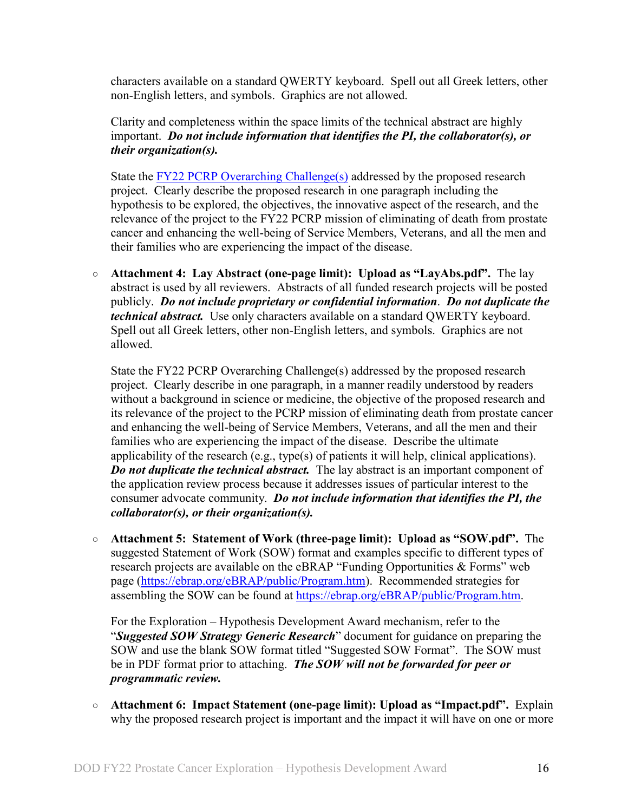characters available on a standard QWERTY keyboard. Spell out all Greek letters, other non-English letters, and symbols. Graphics are not allowed.

Clarity and completeness within the space limits of the technical abstract are highly important. *Do not include information that identifies the PI, the collaborator(s), or their organization(s).*

State the **FY22 PCRP** Overarching Challenge(s) addressed by the proposed research project. Clearly describe the proposed research in one paragraph including the hypothesis to be explored, the objectives, the innovative aspect of the research, and the relevance of the project to the FY22 PCRP mission of eliminating of death from prostate cancer and enhancing the well-being of Service Members, Veterans, and all the men and their families who are experiencing the impact of the disease.

○ **Attachment 4: Lay Abstract (one-page limit): Upload as "LayAbs.pdf".** The lay abstract is used by all reviewers. Abstracts of all funded research projects will be posted publicly. *Do not include proprietary or confidential information*. *Do not duplicate the technical abstract.* Use only characters available on a standard QWERTY keyboard. Spell out all Greek letters, other non-English letters, and symbols. Graphics are not allowed.

State the FY22 PCRP Overarching Challenge(s) addressed by the proposed research project. Clearly describe in one paragraph, in a manner readily understood by readers without a background in science or medicine, the objective of the proposed research and its relevance of the project to the PCRP mission of eliminating death from prostate cancer and enhancing the well-being of Service Members, Veterans, and all the men and their families who are experiencing the impact of the disease. Describe the ultimate applicability of the research (e.g., type(s) of patients it will help, clinical applications). *Do not duplicate the technical abstract.* The lay abstract is an important component of the application review process because it addresses issues of particular interest to the consumer advocate community. *Do not include information that identifies the PI, the collaborator(s), or their organization(s).*

○ **Attachment 5: Statement of Work (three-page limit): Upload as "SOW.pdf".** The suggested Statement of Work (SOW) format and examples specific to different types of research projects are available on the eBRAP "Funding Opportunities & Forms" web page [\(https://ebrap.org/eBRAP/public/Program.htm\)](https://ebrap.org/eBRAP/public/Program.htm). Recommended strategies for assembling the SOW can be found at [https://ebrap.org/eBRAP/public/Program.htm.](https://ebrap.org/eBRAP/public/Program.htm)

For the Exploration – Hypothesis Development Award mechanism, refer to the "*Suggested SOW Strategy Generic Research*" document for guidance on preparing the SOW and use the blank SOW format titled "Suggested SOW Format". The SOW must be in PDF format prior to attaching. *The SOW will not be forwarded for peer or programmatic review.*

○ **Attachment 6: Impact Statement (one-page limit): Upload as "Impact.pdf".** Explain why the proposed research project is important and the impact it will have on one or more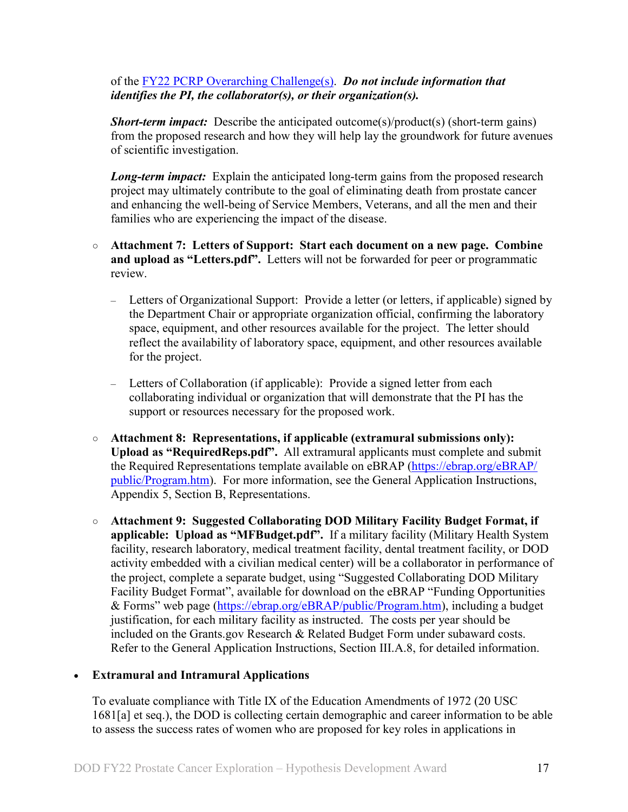#### of the [FY22 PCRP Overarching Challenge\(s\).](#page-2-2) *Do not include information that identifies the PI, the collaborator(s), or their organization(s).*

*Short-term impact:* Describe the anticipated outcome(s)/product(s) (short-term gains) from the proposed research and how they will help lay the groundwork for future avenues of scientific investigation.

*Long-term impact:* Explain the anticipated long-term gains from the proposed research project may ultimately contribute to the goal of eliminating death from prostate cancer and enhancing the well-being of Service Members, Veterans, and all the men and their families who are experiencing the impact of the disease.

- **Attachment 7: Letters of Support: Start each document on a new page. Combine and upload as "Letters.pdf".** Letters will not be forwarded for peer or programmatic review.
	- Letters of Organizational Support: Provide a letter (or letters, if applicable) signed by the Department Chair or appropriate organization official, confirming the laboratory space, equipment, and other resources available for the project. The letter should reflect the availability of laboratory space, equipment, and other resources available for the project.
	- Letters of Collaboration (if applicable): Provide a signed letter from each collaborating individual or organization that will demonstrate that the PI has the support or resources necessary for the proposed work.
- **Attachment 8: Representations, if applicable (extramural submissions only): Upload as "RequiredReps.pdf".** All extramural applicants must complete and submit the Required Representations template available on eBRAP [\(https://ebrap.org/eBRAP/](https://ebrap.org/eBRAP/public/Program.htm) [public/Program.htm\)](https://ebrap.org/eBRAP/public/Program.htm). For more information, see the General Application Instructions, Appendix 5, Section B, Representations.
- <span id="page-16-0"></span>○ **Attachment 9: Suggested Collaborating DOD Military Facility Budget Format, if applicable: Upload as "MFBudget.pdf".** If a military facility (Military Health System facility, research laboratory, medical treatment facility, dental treatment facility, or DOD activity embedded with a civilian medical center) will be a collaborator in performance of the project, complete a separate budget, using "Suggested Collaborating DOD Military Facility Budget Format", available for download on the eBRAP "Funding Opportunities & Forms" web page [\(https://ebrap.org/eBRAP/public/Program.htm\)](https://ebrap.org/eBRAP/public/Program.htm), including a budget justification, for each military facility as instructed. The costs per year should be included on the Grants.gov Research & Related Budget Form under subaward costs. Refer to the General Application Instructions, Section III.A.8, for detailed information.

#### • **Extramural and Intramural Applications**

To evaluate compliance with Title IX of the Education Amendments of 1972 (20 USC 1681[a] et seq.), the DOD is collecting certain demographic and career information to be able to assess the success rates of women who are proposed for key roles in applications in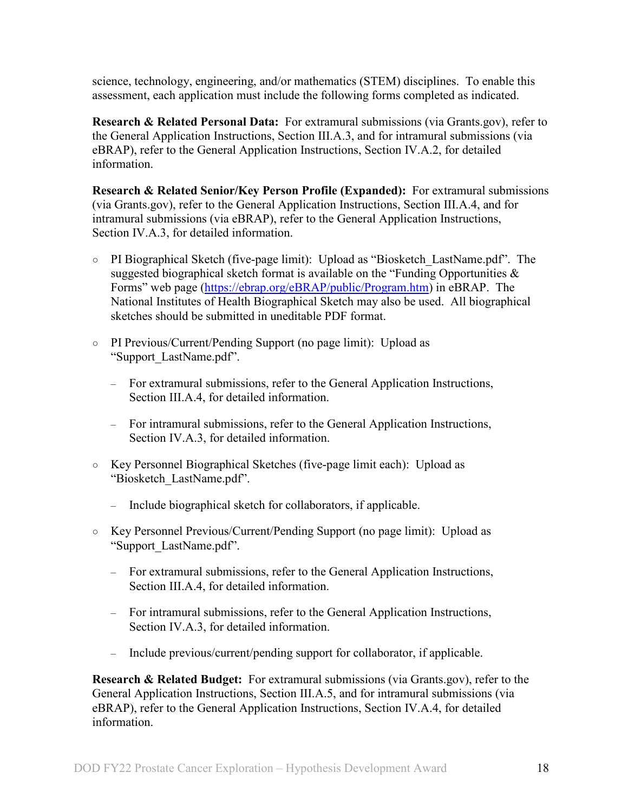science, technology, engineering, and/or mathematics (STEM) disciplines. To enable this assessment, each application must include the following forms completed as indicated.

<span id="page-17-0"></span>**Research & Related Personal Data:** For extramural submissions (via Grants.gov), refer to the General Application Instructions, Section III.A.3, and for intramural submissions (via eBRAP), refer to the General Application Instructions, Section IV.A.2, for detailed information.

<span id="page-17-1"></span>**Research & Related Senior/Key Person Profile (Expanded):** For extramural submissions (via Grants.gov), refer to the General Application Instructions, Section III.A.4, and for intramural submissions (via eBRAP), refer to the General Application Instructions, Section IV.A.3, for detailed information.

- PI Biographical Sketch (five-page limit): Upload as "Biosketch\_LastName.pdf". The suggested biographical sketch format is available on the "Funding Opportunities  $\&$ Forms" web page [\(https://ebrap.org/eBRAP/public/Program.htm\)](https://ebrap.org/eBRAP/public/Program.htm) in eBRAP. The National Institutes of Health Biographical Sketch may also be used. All biographical sketches should be submitted in uneditable PDF format.
- PI Previous/Current/Pending Support (no page limit): Upload as "Support\_LastName.pdf".
	- For extramural submissions, refer to the General Application Instructions, Section III.A.4, for detailed information.
	- For intramural submissions, refer to the General Application Instructions, Section IV.A.3, for detailed information.
- Key Personnel Biographical Sketches (five-page limit each): Upload as "Biosketch\_LastName.pdf".
	- Include biographical sketch for collaborators, if applicable.
- Key Personnel Previous/Current/Pending Support (no page limit): Upload as "Support\_LastName.pdf".
	- For extramural submissions, refer to the General Application Instructions, Section III.A.4, for detailed information.
	- For intramural submissions, refer to the General Application Instructions, Section IV.A.3, for detailed information.
	- Include previous/current/pending support for collaborator, if applicable.

<span id="page-17-2"></span>**Research & Related Budget:** For extramural submissions (via Grants.gov), refer to the General Application Instructions, Section III.A.5, and for intramural submissions (via eBRAP), refer to the General Application Instructions, Section IV.A.4, for detailed information.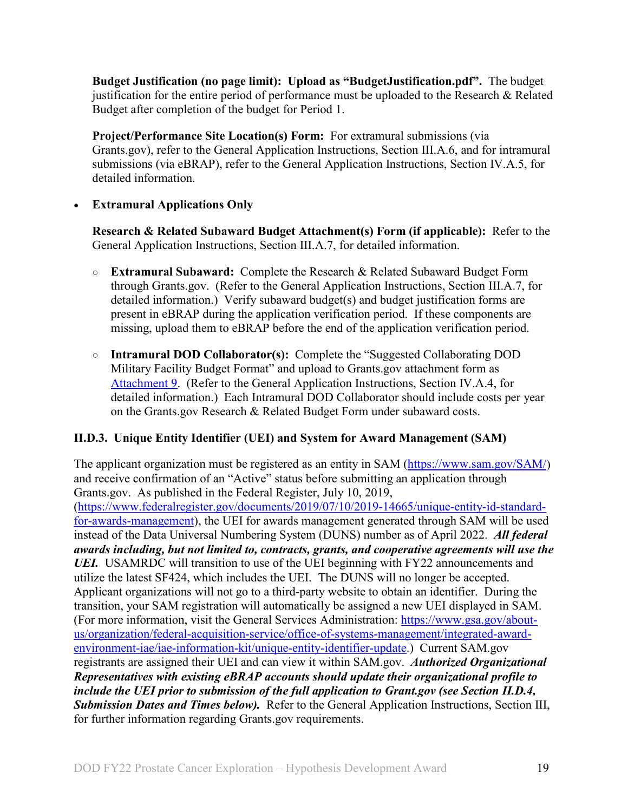**Budget Justification (no page limit): Upload as "BudgetJustification.pdf".** The budget justification for the entire period of performance must be uploaded to the Research & Related Budget after completion of the budget for Period 1.

<span id="page-18-1"></span>**Project/Performance Site Location(s) Form:** For extramural submissions (via Grants.gov), refer to the General Application Instructions, Section III.A.6, and for intramural submissions (via eBRAP), refer to the General Application Instructions, Section IV.A.5, for detailed information.

#### • **Extramural Applications Only**

<span id="page-18-2"></span>**Research & Related Subaward Budget Attachment(s) Form (if applicable):** Refer to the General Application Instructions, Section III.A.7, for detailed information.

- **Extramural Subaward:** Complete the Research & Related Subaward Budget Form through Grants.gov. (Refer to the General Application Instructions, Section III.A.7, for detailed information.) Verify subaward budget(s) and budget justification forms are present in eBRAP during the application verification period. If these components are missing, upload them to eBRAP before the end of the application verification period.
- **Intramural DOD Collaborator(s):** Complete the "Suggested Collaborating DOD Military Facility Budget Format" and upload to Grants.gov attachment form as [Attachment 9.](#page-16-0) (Refer to the General Application Instructions, Section IV.A.4, for detailed information.) Each Intramural DOD Collaborator should include costs per year on the Grants.gov Research & Related Budget Form under subaward costs.

# <span id="page-18-0"></span>**II.D.3. Unique Entity Identifier (UEI) and System for Award Management (SAM)**

The applicant organization must be registered as an entity in SAM [\(https://www.sam.gov/SAM/\)](https://www.sam.gov/SAM/) and receive confirmation of an "Active" status before submitting an application through Grants.gov. As published in the Federal Register, July 10, 2019, [\(https://www.federalregister.gov/documents/2019/07/10/2019-14665/unique-entity-id-standard](https://www.federalregister.gov/documents/2019/07/10/2019-14665/unique-entity-id-standard-for-awards-management)[for-awards-management\)](https://www.federalregister.gov/documents/2019/07/10/2019-14665/unique-entity-id-standard-for-awards-management), the UEI for awards management generated through SAM will be used instead of the Data Universal Numbering System (DUNS) number as of April 2022. *All federal awards including, but not limited to, contracts, grants, and cooperative agreements will use the UEI.* USAMRDC will transition to use of the UEI beginning with FY22 announcements and utilize the latest SF424, which includes the UEI. The DUNS will no longer be accepted. Applicant organizations will not go to a third-party website to obtain an identifier. During the transition, your SAM registration will automatically be assigned a new UEI displayed in SAM. (For more information, visit the General Services Administration: [https://www.gsa.gov/about](https://www.gsa.gov/about-us/organization/federal-acquisition-service/office-of-systems-management/integrated-award-environment-iae/iae-information-kit/unique-entity-identifier-update)[us/organization/federal-acquisition-service/office-of-systems-management/integrated-award](https://www.gsa.gov/about-us/organization/federal-acquisition-service/office-of-systems-management/integrated-award-environment-iae/iae-information-kit/unique-entity-identifier-update)[environment-iae/iae-information-kit/unique-entity-identifier-update.](https://www.gsa.gov/about-us/organization/federal-acquisition-service/office-of-systems-management/integrated-award-environment-iae/iae-information-kit/unique-entity-identifier-update)) Current SAM.gov registrants are assigned their UEI and can view it within SAM.gov. *Authorized Organizational Representatives with existing eBRAP accounts should update their organizational profile to include the UEI prior to submission of the full application to Grant.gov (see Section II.D.4, Submission Dates and Times below).* Refer to the General Application Instructions, Section III, for further information regarding Grants.gov requirements.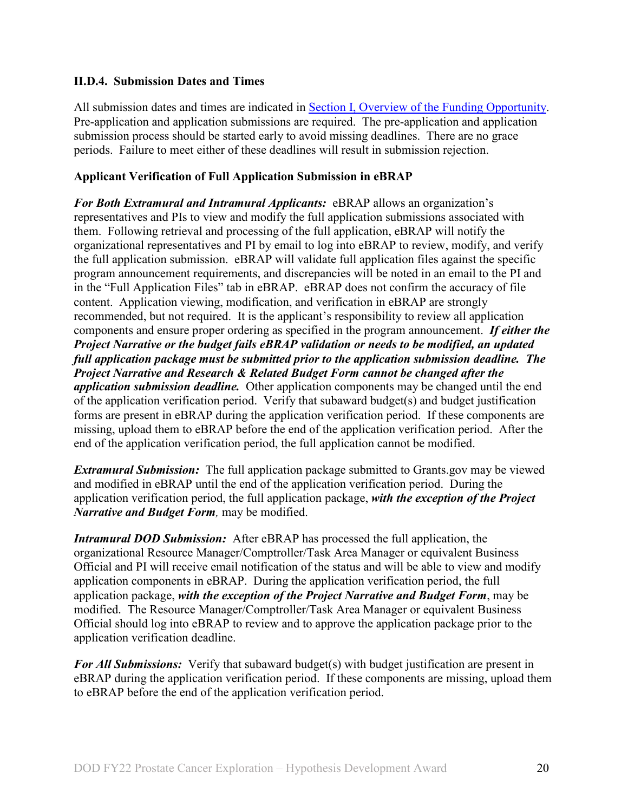#### <span id="page-19-0"></span>**II.D.4. Submission Dates and Times**

All submission dates and times are indicated in [Section I, Overview of the Funding Opportunity.](#page-0-1) Pre-application and application submissions are required. The pre-application and application submission process should be started early to avoid missing deadlines. There are no grace periods. Failure to meet either of these deadlines will result in submission rejection.

#### <span id="page-19-1"></span>**Applicant Verification of Full Application Submission in eBRAP**

*For Both Extramural and Intramural Applicants:* eBRAP allows an organization's representatives and PIs to view and modify the full application submissions associated with them. Following retrieval and processing of the full application, eBRAP will notify the organizational representatives and PI by email to log into eBRAP to review, modify, and verify the full application submission. eBRAP will validate full application files against the specific program announcement requirements, and discrepancies will be noted in an email to the PI and in the "Full Application Files" tab in eBRAP. eBRAP does not confirm the accuracy of file content. Application viewing, modification, and verification in eBRAP are strongly recommended, but not required. It is the applicant's responsibility to review all application components and ensure proper ordering as specified in the program announcement. *If either the Project Narrative or the budget fails eBRAP validation or needs to be modified, an updated full application package must be submitted prior to the application submission deadline. The Project Narrative and Research & Related Budget Form cannot be changed after the application submission deadline.* Other application components may be changed until the end of the [application verification period.](#page-0-0) Verify that subaward budget(s) and budget justification forms are present in eBRAP during the application verification period. If these components are missing, upload them to eBRAP before the end of the application verification period. After the end of the application verification period, the full application cannot be modified.

*Extramural Submission:* The full application package submitted to Grants.gov may be viewed and modified in eBRAP until the end of the application verification period. During the application verification period, the full application package, *with the exception of the Project Narrative and Budget Form,* may be modified.

*Intramural DOD Submission:* After eBRAP has processed the full application, the organizational Resource Manager/Comptroller/Task Area Manager or equivalent Business Official and PI will receive email notification of the status and will be able to view and modify application components in eBRAP. During the application verification period, the full application package, *with the exception of the Project Narrative and Budget Form*, may be modified. The Resource Manager/Comptroller/Task Area Manager or equivalent Business Official should log into eBRAP to review and to approve the application package prior to the application verification deadline.

*For All Submissions:* Verify that subaward budget(s) with budget justification are present in eBRAP during the application verification period. If these components are missing, upload them to eBRAP before the end of the application verification period.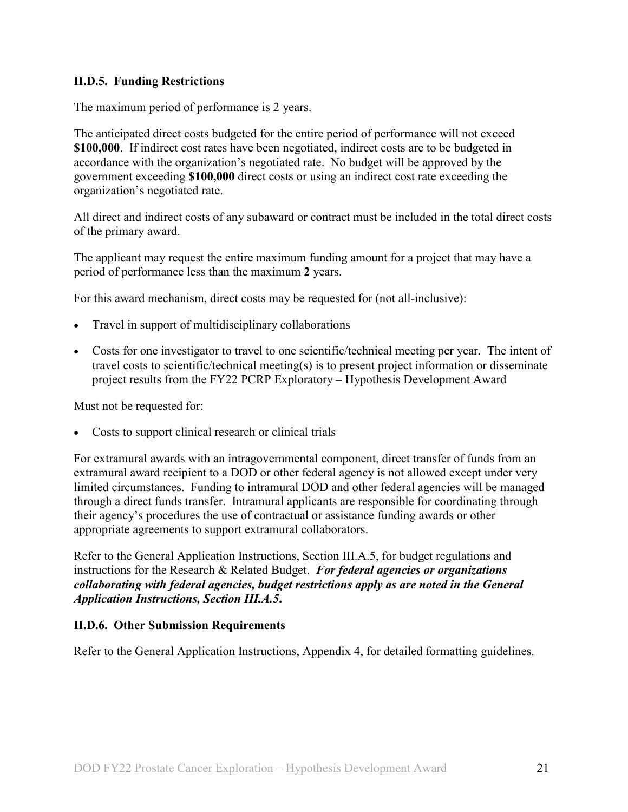#### <span id="page-20-0"></span>**II.D.5. Funding Restrictions**

The maximum period of performance is 2 years.

The anticipated direct costs budgeted for the entire period of performance will not exceed **\$100,000**. If indirect cost rates have been negotiated, indirect costs are to be budgeted in accordance with the organization's negotiated rate. No budget will be approved by the government exceeding **\$100,000** direct costs or using an indirect cost rate exceeding the organization's negotiated rate.

All direct and indirect costs of any subaward or contract must be included in the total direct costs of the primary award.

The applicant may request the entire maximum funding amount for a project that may have a period of performance less than the maximum **2** years.

For this award mechanism, direct costs may be requested for (not all-inclusive):

- Travel in support of multidisciplinary collaborations
- Costs for one investigator to travel to one scientific/technical meeting per year. The intent of travel costs to scientific/technical meeting(s) is to present project information or disseminate project results from the FY22 PCRP Exploratory – Hypothesis Development Award

Must not be requested for:

• Costs to support clinical research or clinical trials

For extramural awards with an intragovernmental component, direct transfer of funds from an extramural award recipient to a DOD or other federal agency is not allowed except under very limited circumstances. Funding to intramural DOD and other federal agencies will be managed through a direct funds transfer. Intramural applicants are responsible for coordinating through their agency's procedures the use of contractual or assistance funding awards or other appropriate agreements to support extramural collaborators.

Refer to the General Application Instructions, Section III.A.5, for budget regulations and instructions for the Research & Related Budget. *For federal agencies or organizations collaborating with federal agencies, budget restrictions apply as are noted in the General Application Instructions, Section III.A.5***.**

#### <span id="page-20-1"></span>**II.D.6. Other Submission Requirements**

Refer to the General Application Instructions, Appendix 4, for detailed formatting guidelines.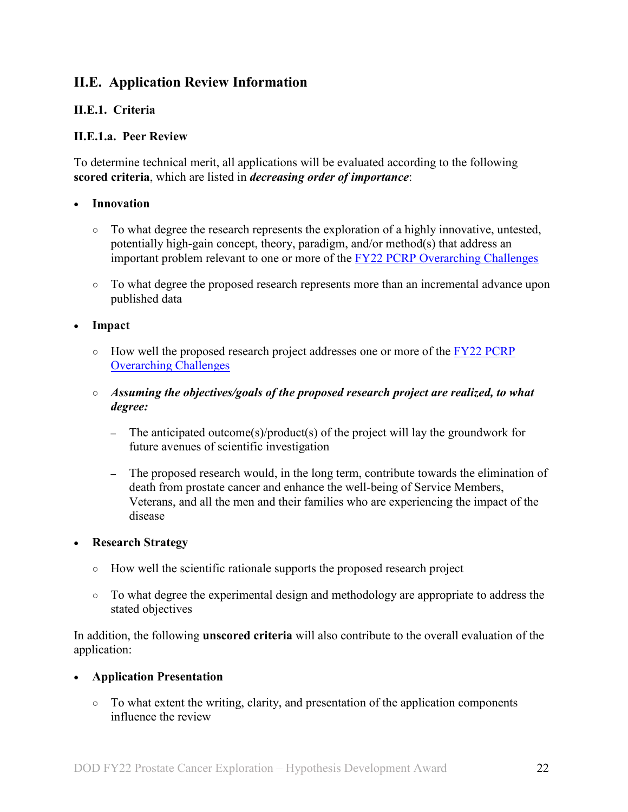# <span id="page-21-0"></span>**II.E. Application Review Information**

### <span id="page-21-1"></span>**II.E.1. Criteria**

#### **II.E.1.a. Peer Review**

To determine technical merit, all applications will be evaluated according to the following **scored criteria**, which are listed in *decreasing order of importance*:

#### • **Innovation**

- To what degree the research represents the exploration of a highly innovative, untested, potentially high-gain concept, theory, paradigm, and/or method(s) that address an important problem relevant to one or more of the [FY22 PCRP Overarching Challenges](#page-2-2)
- To what degree the proposed research represents more than an incremental advance upon published data

• **Impact**

- $\circ$  How well the proposed research project addresses one or more of the FY22 PCRP [Overarching Challenges](#page-2-2)
- *Assuming the objectives/goals of the proposed research project are realized, to what degree:*
	- **–** The anticipated outcome(s)/product(s) of the project will lay the groundwork for future avenues of scientific investigation
	- **–** The proposed research would, in the long term, contribute towards the elimination of death from prostate cancer and enhance the well-being of Service Members, Veterans, and all the men and their families who are experiencing the impact of the disease

#### • **Research Strategy**

- How well the scientific rationale supports the proposed research project
- To what degree the experimental design and methodology are appropriate to address the stated objectives

In addition, the following **unscored criteria** will also contribute to the overall evaluation of the application:

#### • **Application Presentation**

○ To what extent the writing, clarity, and presentation of the application components influence the review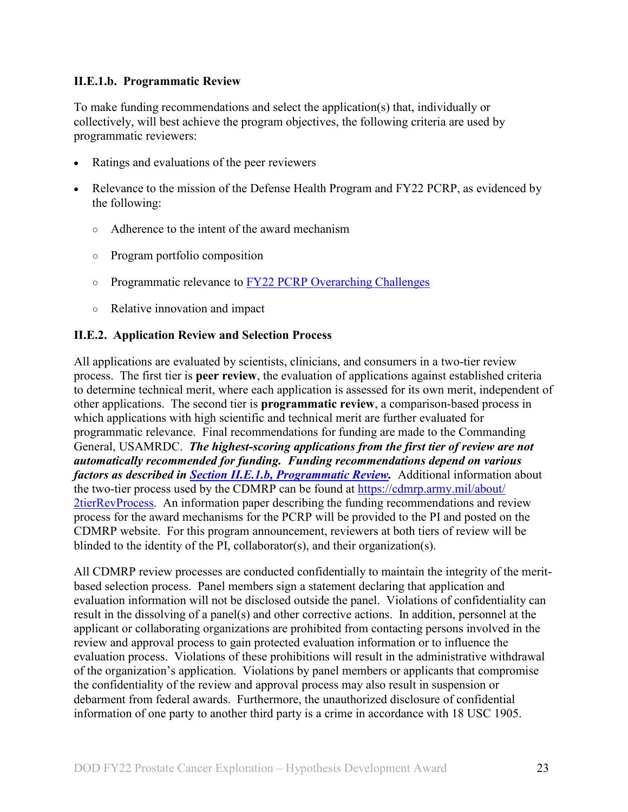#### <span id="page-22-1"></span>**II.E.1.b. Programmatic Review**

To make funding recommendations and select the application(s) that, individually or collectively, will best achieve the program objectives, the following criteria are used by programmatic reviewers:

- Ratings and evaluations of the peer reviewers
- Relevance to the mission of the Defense Health Program and FY22 PCRP, as evidenced by the following:
	- Adherence to the intent of the award mechanism
	- Program portfolio composition
	- Programmatic relevance to [FY22 PCRP Overarching Challenges](#page-2-2)
	- Relative innovation and impact

#### <span id="page-22-0"></span>**II.E.2. Application Review and Selection Process**

All applications are evaluated by scientists, clinicians, and consumers in a two-tier review process. The first tier is **peer review**, the evaluation of applications against established criteria to determine technical merit, where each application is assessed for its own merit, independent of other applications. The second tier is **programmatic review**, a comparison-based process in which applications with high scientific and technical merit are further evaluated for programmatic relevance. Final recommendations for funding are made to the Commanding General, USAMRDC. *The highest-scoring applications from the first tier of review are not automatically recommended for funding. Funding recommendations depend on various factors as described in Section [II.E.1.b, Programmatic Review.](#page-22-1)* Additional information about the two-tier process used by the CDMRP can be found at [https://cdmrp.army.mil/about/](https://cdmrp.army.mil/about/2tierRevProcess) [2tierRevProcess.](https://cdmrp.army.mil/about/2tierRevProcess) An information paper describing the funding recommendations and review process for the award mechanisms for the PCRP will be provided to the PI and posted on the CDMRP website. For this program announcement, reviewers at both tiers of review will be blinded to the identity of the PI, collaborator(s), and their organization(s).

All CDMRP review processes are conducted confidentially to maintain the integrity of the meritbased selection process. Panel members sign a statement declaring that application and evaluation information will not be disclosed outside the panel. Violations of confidentiality can result in the dissolving of a panel(s) and other corrective actions. In addition, personnel at the applicant or collaborating organizations are prohibited from contacting persons involved in the review and approval process to gain protected evaluation information or to influence the evaluation process. Violations of these prohibitions will result in the administrative withdrawal of the organization's application. Violations by panel members or applicants that compromise the confidentiality of the review and approval process may also result in suspension or debarment from federal awards. Furthermore, the unauthorized disclosure of confidential information of one party to another third party is a crime in accordance with 18 USC 1905.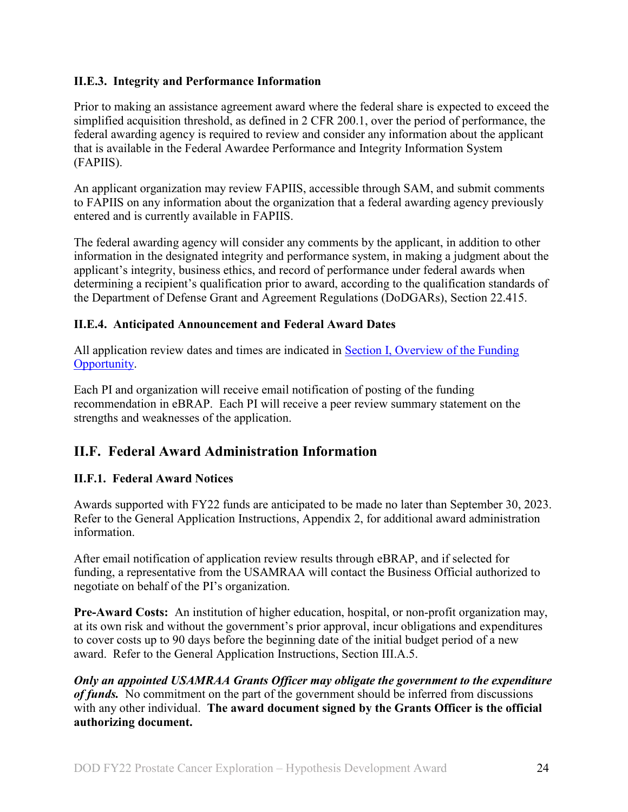#### <span id="page-23-0"></span>**II.E.3. Integrity and Performance Information**

Prior to making an assistance agreement award where the federal share is expected to exceed the simplified acquisition threshold, as defined in 2 CFR 200.1, over the period of performance, the federal awarding agency is required to review and consider any information about the applicant that is available in the Federal Awardee Performance and Integrity Information System (FAPIIS).

An applicant organization may review FAPIIS, accessible through SAM, and submit comments to FAPIIS on any information about the organization that a federal awarding agency previously entered and is currently available in FAPIIS.

The federal awarding agency will consider any comments by the applicant, in addition to other information in the designated integrity and performance system, in making a judgment about the applicant's integrity, business ethics, and record of performance under federal awards when determining a recipient's qualification prior to award, according to the qualification standards of the Department of Defense Grant and Agreement Regulations (DoDGARs), Section 22.415.

#### <span id="page-23-1"></span>**II.E.4. Anticipated Announcement and Federal Award Dates**

All application review dates and times are indicated in [Section I, Overview of the Funding](#page-0-1)  [Opportunity.](#page-0-1)

Each PI and organization will receive email notification of posting of the funding recommendation in eBRAP. Each PI will receive a peer review summary statement on the strengths and weaknesses of the application.

# <span id="page-23-2"></span>**II.F. Federal Award Administration Information**

# <span id="page-23-3"></span>**II.F.1. Federal Award Notices**

Awards supported with FY22 funds are anticipated to be made no later than September 30, 2023. Refer to the General Application Instructions, Appendix 2, for additional award administration information.

After email notification of application review results through eBRAP, and if selected for funding, a representative from the USAMRAA will contact the Business Official authorized to negotiate on behalf of the PI's organization.

**Pre-Award Costs:** An institution of higher education, hospital, or non-profit organization may, at its own risk and without the government's prior approval, incur obligations and expenditures to cover costs up to 90 days before the beginning date of the initial budget period of a new award. Refer to the General Application Instructions, Section III.A.5.

*Only an appointed USAMRAA Grants Officer may obligate the government to the expenditure of funds.* No commitment on the part of the government should be inferred from discussions with any other individual. **The award document signed by the Grants Officer is the official authorizing document.**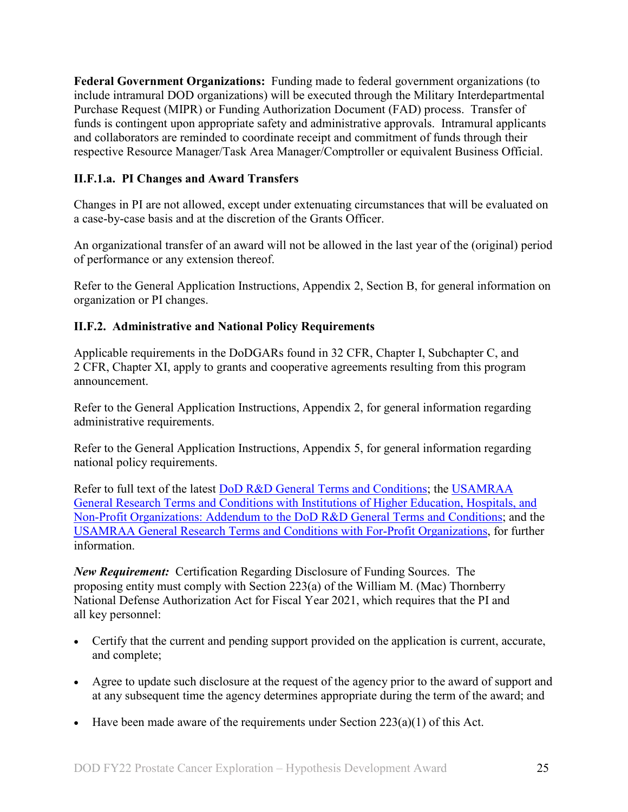**Federal Government Organizations:**Funding made to federal government organizations (to include intramural DOD organizations) will be executed through the Military Interdepartmental Purchase Request (MIPR) or Funding Authorization Document (FAD) process. Transfer of funds is contingent upon appropriate safety and administrative approvals. Intramural applicants and collaborators are reminded to coordinate receipt and commitment of funds through their respective Resource Manager/Task Area Manager/Comptroller or equivalent Business Official.

# **II.F.1.a. PI Changes and Award Transfers**

Changes in PI are not allowed, except under extenuating circumstances that will be evaluated on a case-by-case basis and at the discretion of the Grants Officer.

An organizational transfer of an award will not be allowed in the last year of the (original) period of performance or any extension thereof.

Refer to the General Application Instructions, Appendix 2, Section B, for general information on organization or PI changes.

#### <span id="page-24-0"></span>**II.F.2. Administrative and National Policy Requirements**

Applicable requirements in the DoDGARs found in 32 CFR, Chapter I, Subchapter C, and 2 CFR, Chapter XI, apply to grants and cooperative agreements resulting from this program announcement.

Refer to the General Application Instructions, Appendix 2, for general information regarding administrative requirements.

Refer to the General Application Instructions, Appendix 5, for general information regarding national policy requirements.

Refer to full text of the latest **DoD R&D General Terms and Conditions**; the USAMRAA [General Research Terms and Conditions with Institutions of Higher Education, Hospitals, and](https://www.usamraa.army.mil/Pages/Resources.aspx)  [Non-Profit Organizations: Addendum to the DoD](https://www.usamraa.army.mil/Pages/Resources.aspx) R&D General Terms and Conditions; and the [USAMRAA General Research Terms and Conditions with For-Profit Organizations,](https://www.usamraa.army.mil/Pages/Resources.aspx) for further information.

*New Requirement:* Certification Regarding Disclosure of Funding Sources. The proposing entity must comply with Section 223(a) of the William M. (Mac) Thornberry National Defense Authorization Act for Fiscal Year 2021, which requires that the PI and all key personnel:

- Certify that the current and pending support provided on the application is current, accurate, and complete;
- Agree to update such disclosure at the request of the agency prior to the award of support and at any subsequent time the agency determines appropriate during the term of the award; and
- Have been made aware of the requirements under Section  $223(a)(1)$  of this Act.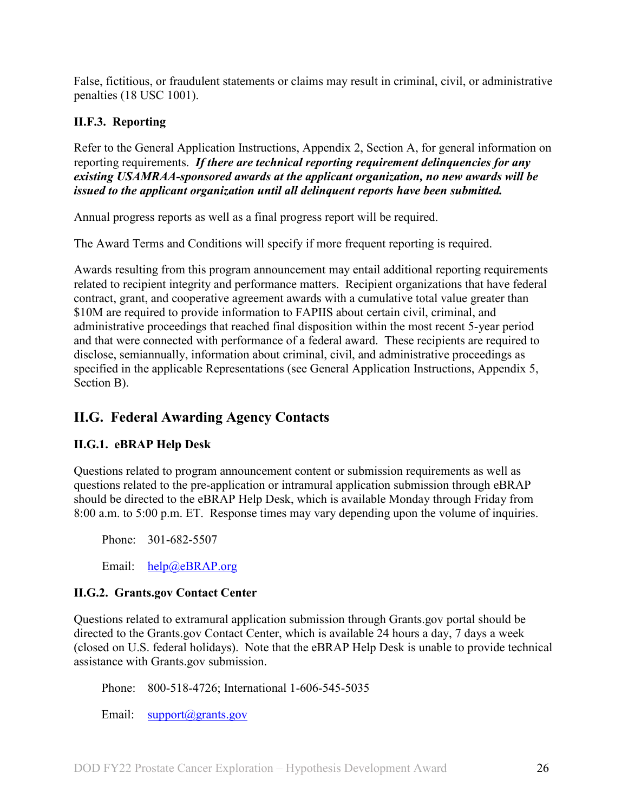False, fictitious, or fraudulent statements or claims may result in criminal, civil, or administrative penalties (18 USC 1001).

# <span id="page-25-0"></span>**II.F.3. Reporting**

Refer to the General Application Instructions, Appendix 2, Section A, for general information on reporting requirements. *If there are technical reporting requirement delinquencies for any existing USAMRAA-sponsored awards at the applicant organization, no new awards will be issued to the applicant organization until all delinquent reports have been submitted.*

Annual progress reports as well as a final progress report will be required.

The Award Terms and Conditions will specify if more frequent reporting is required.

Awards resulting from this program announcement may entail additional reporting requirements related to recipient integrity and performance matters. Recipient organizations that have federal contract, grant, and cooperative agreement awards with a cumulative total value greater than \$10M are required to provide information to FAPIIS about certain civil, criminal, and administrative proceedings that reached final disposition within the most recent 5-year period and that were connected with performance of a federal award. These recipients are required to disclose, semiannually, information about criminal, civil, and administrative proceedings as specified in the applicable Representations (see General Application Instructions, Appendix 5, Section B).

# <span id="page-25-1"></span>**II.G. Federal Awarding Agency Contacts**

#### <span id="page-25-2"></span>**II.G.1. eBRAP Help Desk**

Questions related to program announcement content or submission requirements as well as questions related to the pre-application or intramural application submission through eBRAP should be directed to the eBRAP Help Desk, which is available Monday through Friday from 8:00 a.m. to 5:00 p.m. ET. Response times may vary depending upon the volume of inquiries.

Phone: 301-682-5507

Email: [help@eBRAP.org](mailto:help@eBRAP.org)

#### <span id="page-25-3"></span>**II.G.2. Grants.gov Contact Center**

Questions related to extramural application submission through Grants.gov portal should be directed to the Grants.gov Contact Center, which is available 24 hours a day, 7 days a week (closed on U.S. federal holidays). Note that the eBRAP Help Desk is unable to provide technical assistance with Grants.gov submission.

Phone: 800-518-4726; International 1-606-545-5035

Email: [support@grants.gov](mailto:support@grants.gov)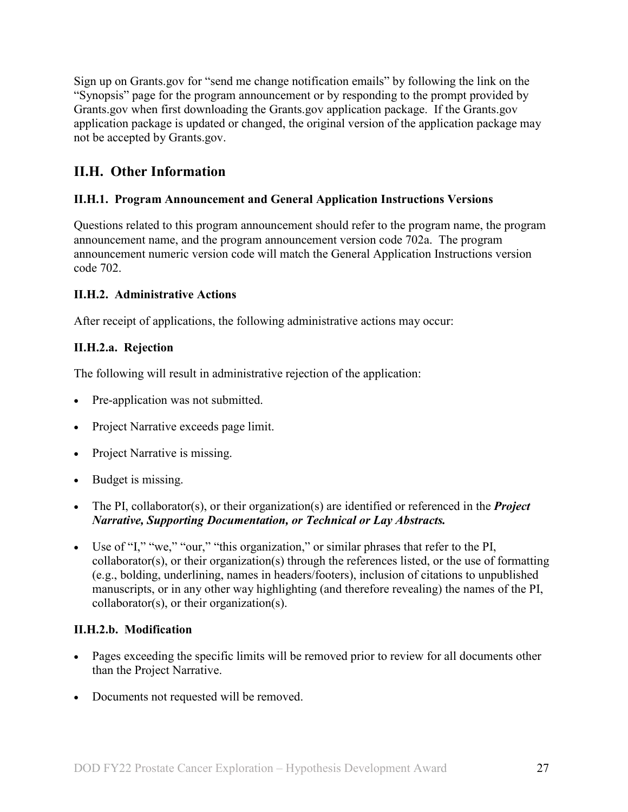Sign up on Grants.gov for "send me change notification emails" by following the link on the "Synopsis" page for the program announcement or by responding to the prompt provided by Grants.gov when first downloading the Grants.gov application package. If the Grants.gov application package is updated or changed, the original version of the application package may not be accepted by Grants.gov.

# <span id="page-26-0"></span>**II.H. Other Information**

### <span id="page-26-1"></span>**II.H.1. Program Announcement and General Application Instructions Versions**

Questions related to this program announcement should refer to the program name, the program announcement name, and the program announcement version code 702a. The program announcement numeric version code will match the General Application Instructions version code 702.

#### <span id="page-26-2"></span>**II.H.2. Administrative Actions**

After receipt of applications, the following administrative actions may occur:

### **II.H.2.a. Rejection**

The following will result in administrative rejection of the application:

- Pre-application was not submitted.
- Project Narrative exceeds page limit.
- Project Narrative is missing.
- Budget is missing.
- The PI, collaborator(s), or their organization(s) are identified or referenced in the *Project Narrative, Supporting Documentation, or Technical or Lay Abstracts.*
- Use of "I," "we," "our," "this organization," or similar phrases that refer to the PI, collaborator(s), or their organization(s) through the references listed, or the use of formatting (e.g., bolding, underlining, names in headers/footers), inclusion of citations to unpublished manuscripts, or in any other way highlighting (and therefore revealing) the names of the PI, collaborator(s), or their organization(s).

#### **II.H.2.b. Modification**

- Pages exceeding the specific limits will be removed prior to review for all documents other than the Project Narrative.
- Documents not requested will be removed.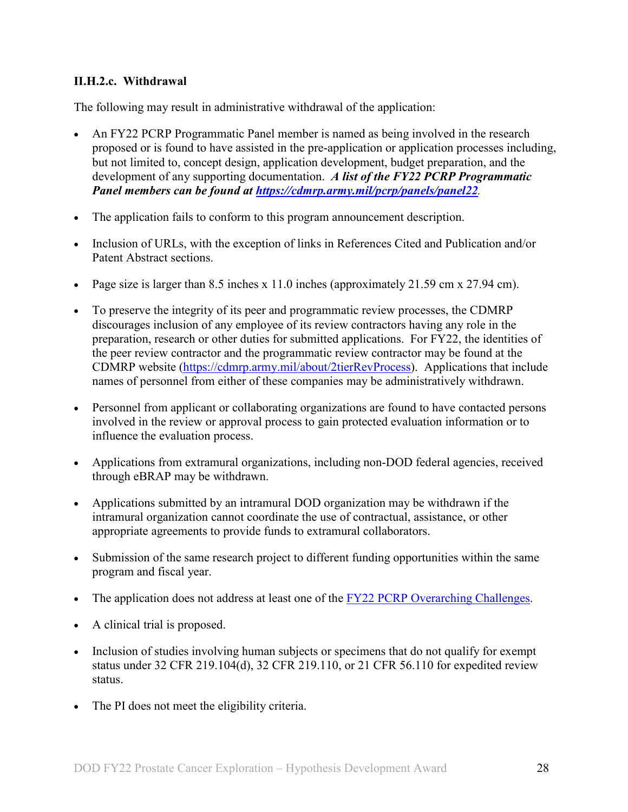#### <span id="page-27-0"></span>**II.H.2.c. Withdrawal**

The following may result in administrative withdrawal of the application:

- An FY22 PCRP Programmatic Panel member is named as being involved in the research proposed or is found to have assisted in the pre-application or application processes including, but not limited to, concept design, application development, budget preparation, and the development of any supporting documentation. *A list of the FY22 PCRP Programmatic Panel members can be found at<https://cdmrp.army.mil/pcrp/panels/panel22>.*
- The application fails to conform to this program announcement description.
- Inclusion of URLs, with the exception of links in References Cited and Publication and/or Patent Abstract sections.
- Page size is larger than 8.5 inches x 11.0 inches (approximately 21.59 cm x 27.94 cm).
- To preserve the integrity of its peer and programmatic review processes, the CDMRP discourages inclusion of any employee of its review contractors having any role in the preparation, research or other duties for submitted applications. For FY22, the identities of the peer review contractor and the programmatic review contractor may be found at the CDMRP website [\(https://cdmrp.army.mil/about/2tierRevProcess\)](https://cdmrp.army.mil/about/2tierRevProcess). Applications that include names of personnel from either of these companies may be administratively withdrawn.
- Personnel from applicant or collaborating organizations are found to have contacted persons involved in the review or approval process to gain protected evaluation information or to influence the evaluation process.
- Applications from extramural organizations, including non-DOD federal agencies, received through eBRAP may be withdrawn.
- Applications submitted by an intramural DOD organization may be withdrawn if the intramural organization cannot coordinate the use of contractual, assistance, or other appropriate agreements to provide funds to extramural collaborators.
- Submission of the same research project to different funding opportunities within the same program and fiscal year.
- The application does not address at least one of the [FY22 PCRP Overarching Challenges.](#page-2-2)
- A clinical trial is proposed.
- Inclusion of studies involving human subjects or specimens that do not qualify for exempt status under 32 CFR 219.104(d), 32 CFR 219.110, or 21 CFR 56.110 for expedited review status.
- The PI does not meet the eligibility criteria.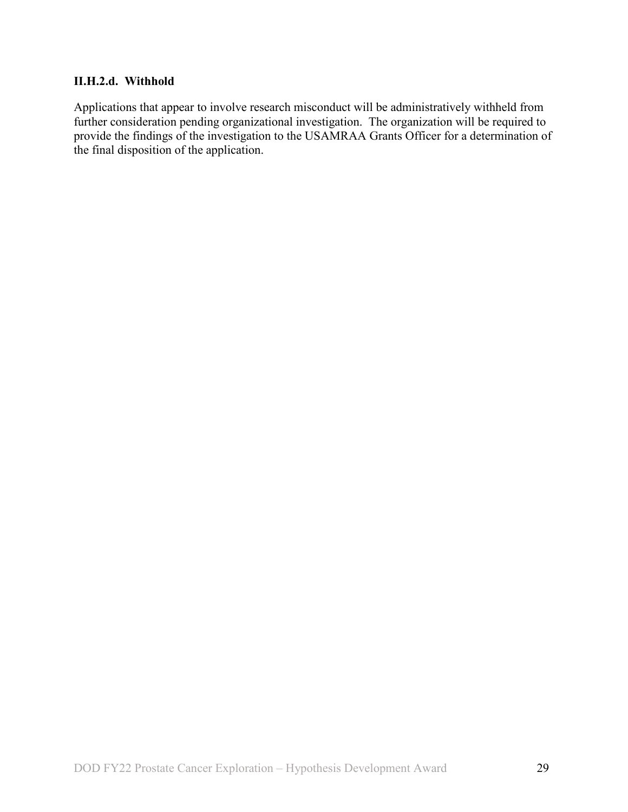#### **II.H.2.d. Withhold**

Applications that appear to involve research misconduct will be administratively withheld from further consideration pending organizational investigation. The organization will be required to provide the findings of the investigation to the USAMRAA Grants Officer for a determination of the final disposition of the application.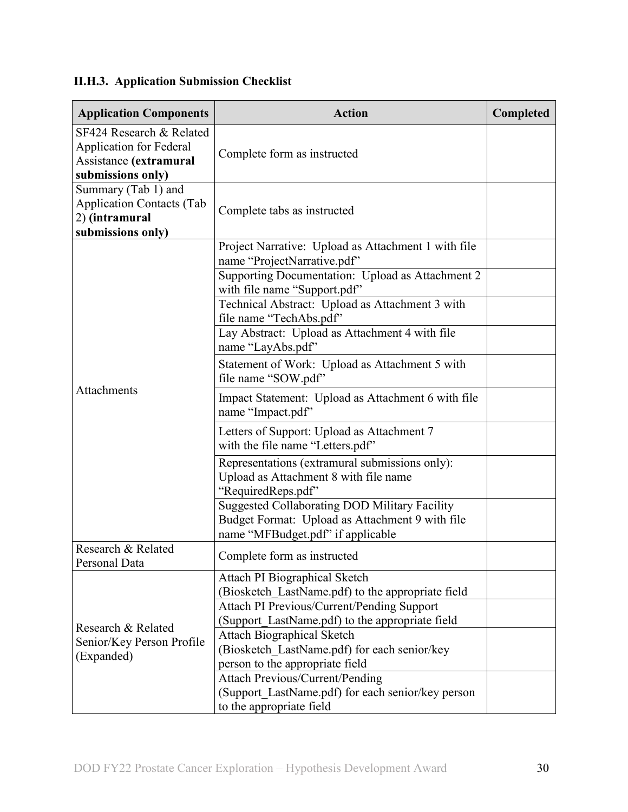# <span id="page-29-0"></span>**II.H.3. Application Submission Checklist**

| <b>Application Components</b>                                                                             | <b>Action</b>                                                                                                                                              | Completed |
|-----------------------------------------------------------------------------------------------------------|------------------------------------------------------------------------------------------------------------------------------------------------------------|-----------|
| SF424 Research & Related<br><b>Application for Federal</b><br>Assistance (extramural<br>submissions only) | Complete form as instructed                                                                                                                                |           |
| Summary (Tab 1) and<br><b>Application Contacts (Tab</b><br>2) (intramural<br>submissions only)            | Complete tabs as instructed                                                                                                                                |           |
|                                                                                                           | Project Narrative: Upload as Attachment 1 with file<br>name "ProjectNarrative.pdf"<br>Supporting Documentation: Upload as Attachment 2                     |           |
|                                                                                                           | with file name "Support.pdf"<br>Technical Abstract: Upload as Attachment 3 with<br>file name "TechAbs.pdf"                                                 |           |
|                                                                                                           | Lay Abstract: Upload as Attachment 4 with file<br>name "LayAbs.pdf"                                                                                        |           |
|                                                                                                           | Statement of Work: Upload as Attachment 5 with<br>file name "SOW.pdf"                                                                                      |           |
| Attachments                                                                                               | Impact Statement: Upload as Attachment 6 with file<br>name "Impact.pdf"                                                                                    |           |
|                                                                                                           | Letters of Support: Upload as Attachment 7<br>with the file name "Letters.pdf"                                                                             |           |
|                                                                                                           | Representations (extramural submissions only):<br>Upload as Attachment 8 with file name<br>"RequiredReps.pdf"                                              |           |
|                                                                                                           | <b>Suggested Collaborating DOD Military Facility</b><br>Budget Format: Upload as Attachment 9 with file<br>name "MFBudget.pdf" if applicable               |           |
| Research & Related<br>Personal Data                                                                       | Complete form as instructed                                                                                                                                |           |
|                                                                                                           | Attach PI Biographical Sketch<br>(Biosketch LastName.pdf) to the appropriate field<br><b>Attach PI Previous/Current/Pending Support</b>                    |           |
| Research & Related<br>Senior/Key Person Profile<br>(Expanded)                                             | (Support LastName.pdf) to the appropriate field<br><b>Attach Biographical Sketch</b><br>(Biosketch LastName.pdf) for each senior/key                       |           |
|                                                                                                           | person to the appropriate field<br><b>Attach Previous/Current/Pending</b><br>(Support LastName.pdf) for each senior/key person<br>to the appropriate field |           |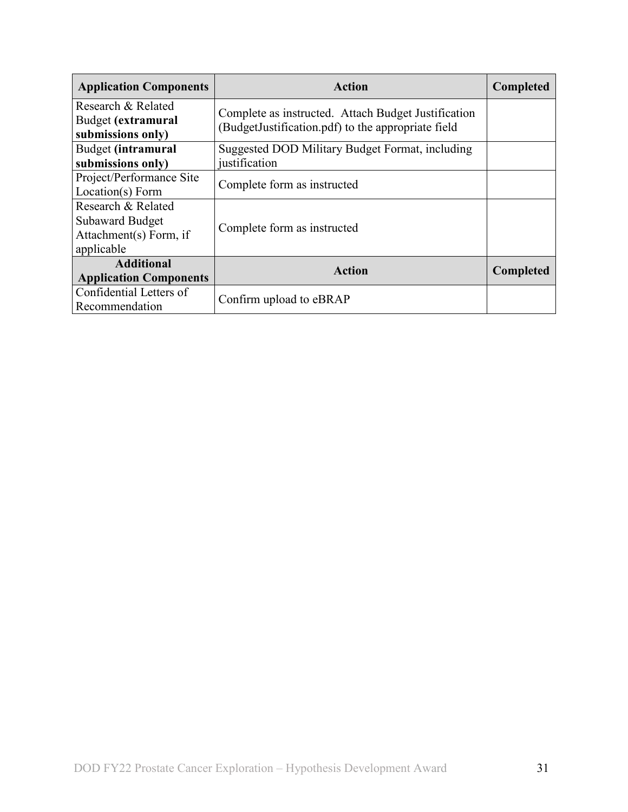| <b>Application Components</b>                                                        | <b>Action</b>                                                                                             | <b>Completed</b> |
|--------------------------------------------------------------------------------------|-----------------------------------------------------------------------------------------------------------|------------------|
| Research & Related<br>Budget (extramural<br>submissions only)                        | Complete as instructed. Attach Budget Justification<br>(BudgetJustification.pdf) to the appropriate field |                  |
| Budget (intramural<br>Suggested DOD Military Budget Format, including                |                                                                                                           |                  |
| submissions only)                                                                    | justification                                                                                             |                  |
| Project/Performance Site<br>Location(s) Form                                         | Complete form as instructed                                                                               |                  |
| Research & Related<br><b>Subaward Budget</b><br>Attachment(s) Form, if<br>applicable | Complete form as instructed                                                                               |                  |
| <b>Additional</b><br><b>Application Components</b>                                   | <b>Action</b>                                                                                             | <b>Completed</b> |
| Confidential Letters of<br>Recommendation                                            | Confirm upload to eBRAP                                                                                   |                  |